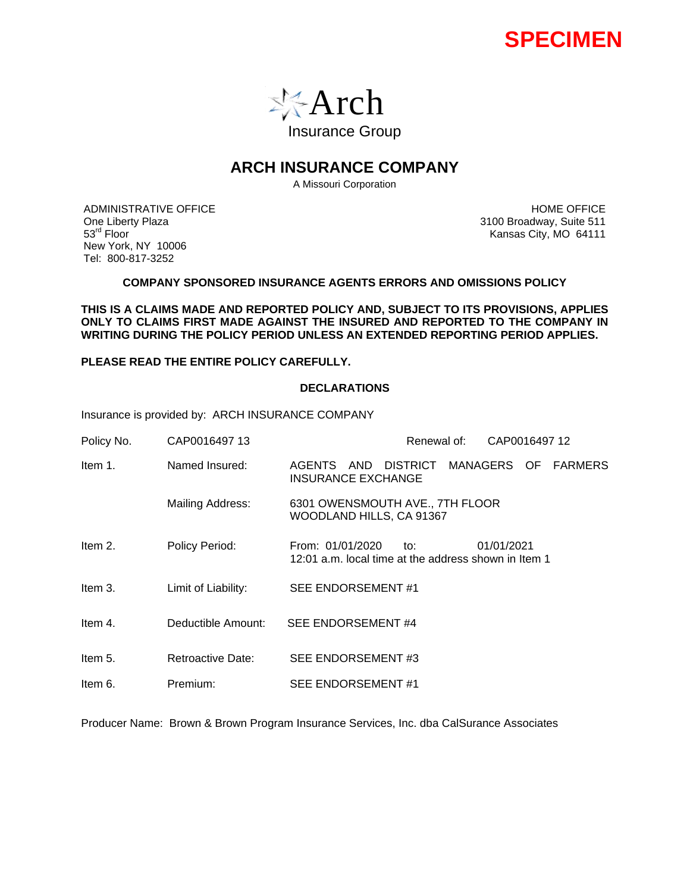



# **ARCH INSURANCE COMPANY**

A Missouri Corporation

ADMINISTRATIVE OFFICE One Liberty Plaza 53rd Floor New York, NY 10006 Tel: 800-817-3252

HOME OFFICE 3100 Broadway, Suite 511 Kansas City, MO 64111

### **COMPANY SPONSORED INSURANCE AGENTS ERRORS AND OMISSIONS POLICY**

**THIS IS A CLAIMS MADE AND REPORTED POLICY AND, SUBJECT TO ITS PROVISIONS, APPLIES ONLY TO CLAIMS FIRST MADE AGAINST THE INSURED AND REPORTED TO THE COMPANY IN WRITING DURING THE POLICY PERIOD UNLESS AN EXTENDED REPORTING PERIOD APPLIES.** 

**PLEASE READ THE ENTIRE POLICY CAREFULLY.** 

## **DECLARATIONS**

Insurance is provided by: ARCH INSURANCE COMPANY

| Policy No. | CAP0016497 13       | Renewal of:<br>CAP0016497 12                                                                  |
|------------|---------------------|-----------------------------------------------------------------------------------------------|
| Item 1.    | Named Insured:      | AGENTS AND DISTRICT<br>MANAGERS OF<br><b>FARMERS</b><br><b>INSURANCE EXCHANGE</b>             |
|            | Mailing Address:    | 6301 OWENSMOUTH AVE., 7TH FLOOR<br>WOODLAND HILLS, CA 91367                                   |
| Item 2.    | Policy Period:      | From: 01/01/2020<br>01/01/2021<br>to:<br>12:01 a.m. local time at the address shown in Item 1 |
| Item 3.    | Limit of Liability: | SEE ENDORSEMENT#1                                                                             |
| Item 4.    | Deductible Amount:  | SEE ENDORSEMENT#4                                                                             |
| Item 5.    | Retroactive Date:   | SEE ENDORSEMENT#3                                                                             |
| Item 6.    | Premium:            | SEE ENDORSEMENT#1                                                                             |

Producer Name: Brown & Brown Program Insurance Services, Inc. dba CalSurance Associates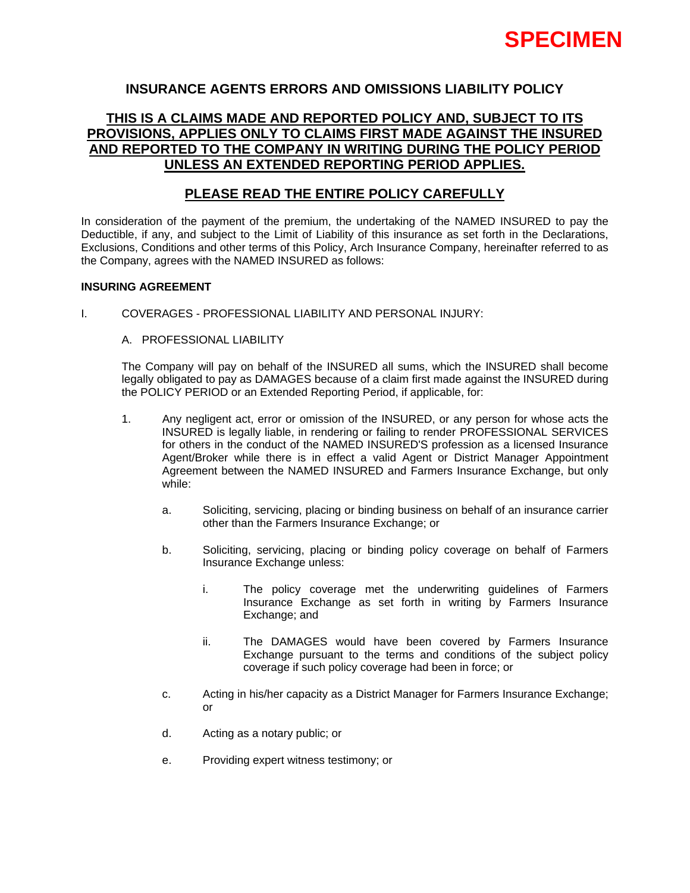# **INSURANCE AGENTS ERRORS AND OMISSIONS LIABILITY POLICY**

# **THIS IS A CLAIMS MADE AND REPORTED POLICY AND, SUBJECT TO ITS PROVISIONS, APPLIES ONLY TO CLAIMS FIRST MADE AGAINST THE INSURED AND REPORTED TO THE COMPANY IN WRITING DURING THE POLICY PERIOD UNLESS AN EXTENDED REPORTING PERIOD APPLIES.**

# **PLEASE READ THE ENTIRE POLICY CAREFULLY**

In consideration of the payment of the premium, the undertaking of the NAMED INSURED to pay the Deductible, if any, and subject to the Limit of Liability of this insurance as set forth in the Declarations, Exclusions, Conditions and other terms of this Policy, Arch Insurance Company, hereinafter referred to as the Company, agrees with the NAMED INSURED as follows:

## **INSURING AGREEMENT**

I. COVERAGES - PROFESSIONAL LIABILITY AND PERSONAL INJURY:

## A. PROFESSIONAL LIABILITY

The Company will pay on behalf of the INSURED all sums, which the INSURED shall become legally obligated to pay as DAMAGES because of a claim first made against the INSURED during the POLICY PERIOD or an Extended Reporting Period, if applicable, for:

- 1. Any negligent act, error or omission of the INSURED, or any person for whose acts the INSURED is legally liable, in rendering or failing to render PROFESSIONAL SERVICES for others in the conduct of the NAMED INSURED'S profession as a licensed Insurance Agent/Broker while there is in effect a valid Agent or District Manager Appointment Agreement between the NAMED INSURED and Farmers Insurance Exchange, but only while:
	- a. Soliciting, servicing, placing or binding business on behalf of an insurance carrier other than the Farmers Insurance Exchange; or
	- b. Soliciting, servicing, placing or binding policy coverage on behalf of Farmers Insurance Exchange unless:
		- i. The policy coverage met the underwriting guidelines of Farmers Insurance Exchange as set forth in writing by Farmers Insurance Exchange; and
		- ii. The DAMAGES would have been covered by Farmers Insurance Exchange pursuant to the terms and conditions of the subject policy coverage if such policy coverage had been in force; or
	- c. Acting in his/her capacity as a District Manager for Farmers Insurance Exchange; or
	- d. Acting as a notary public; or
	- e. Providing expert witness testimony; or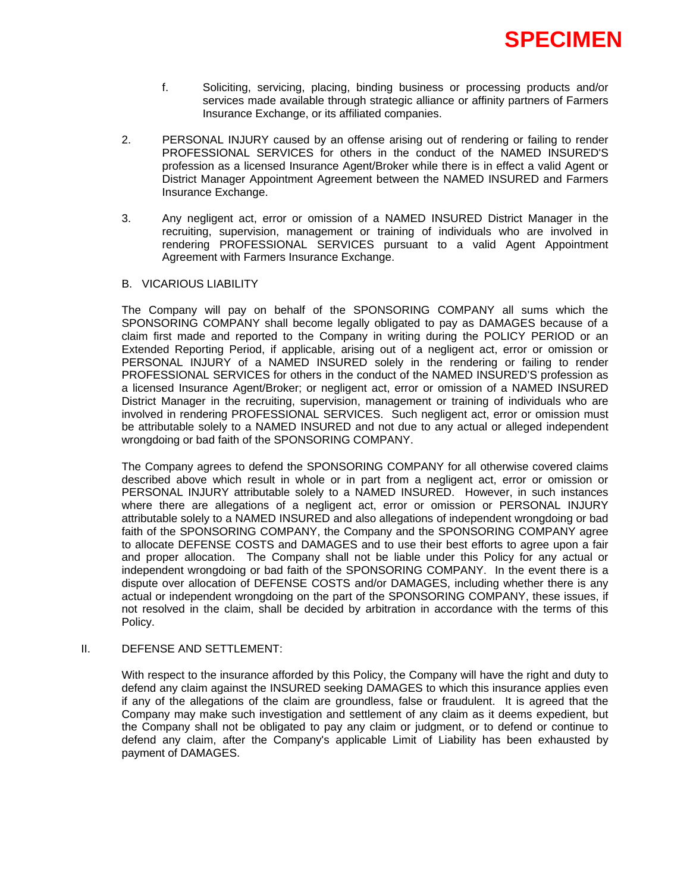

- f. Soliciting, servicing, placing, binding business or processing products and/or services made available through strategic alliance or affinity partners of Farmers Insurance Exchange, or its affiliated companies.
- 2. PERSONAL INJURY caused by an offense arising out of rendering or failing to render PROFESSIONAL SERVICES for others in the conduct of the NAMED INSURED'S profession as a licensed Insurance Agent/Broker while there is in effect a valid Agent or District Manager Appointment Agreement between the NAMED INSURED and Farmers Insurance Exchange.
- 3. Any negligent act, error or omission of a NAMED INSURED District Manager in the recruiting, supervision, management or training of individuals who are involved in rendering PROFESSIONAL SERVICES pursuant to a valid Agent Appointment Agreement with Farmers Insurance Exchange.

#### B. VICARIOUS LIABILITY

The Company will pay on behalf of the SPONSORING COMPANY all sums which the SPONSORING COMPANY shall become legally obligated to pay as DAMAGES because of a claim first made and reported to the Company in writing during the POLICY PERIOD or an Extended Reporting Period, if applicable, arising out of a negligent act, error or omission or PERSONAL INJURY of a NAMED INSURED solely in the rendering or failing to render PROFESSIONAL SERVICES for others in the conduct of the NAMED INSURED'S profession as a licensed Insurance Agent/Broker; or negligent act, error or omission of a NAMED INSURED District Manager in the recruiting, supervision, management or training of individuals who are involved in rendering PROFESSIONAL SERVICES. Such negligent act, error or omission must be attributable solely to a NAMED INSURED and not due to any actual or alleged independent wrongdoing or bad faith of the SPONSORING COMPANY.

The Company agrees to defend the SPONSORING COMPANY for all otherwise covered claims described above which result in whole or in part from a negligent act, error or omission or PERSONAL INJURY attributable solely to a NAMED INSURED. However, in such instances where there are allegations of a negligent act, error or omission or PERSONAL INJURY attributable solely to a NAMED INSURED and also allegations of independent wrongdoing or bad faith of the SPONSORING COMPANY, the Company and the SPONSORING COMPANY agree to allocate DEFENSE COSTS and DAMAGES and to use their best efforts to agree upon a fair and proper allocation. The Company shall not be liable under this Policy for any actual or independent wrongdoing or bad faith of the SPONSORING COMPANY. In the event there is a dispute over allocation of DEFENSE COSTS and/or DAMAGES, including whether there is any actual or independent wrongdoing on the part of the SPONSORING COMPANY, these issues, if not resolved in the claim, shall be decided by arbitration in accordance with the terms of this Policy.

#### II. DEFENSE AND SETTLEMENT:

With respect to the insurance afforded by this Policy, the Company will have the right and duty to defend any claim against the INSURED seeking DAMAGES to which this insurance applies even if any of the allegations of the claim are groundless, false or fraudulent. It is agreed that the Company may make such investigation and settlement of any claim as it deems expedient, but the Company shall not be obligated to pay any claim or judgment, or to defend or continue to defend any claim, after the Company's applicable Limit of Liability has been exhausted by payment of DAMAGES.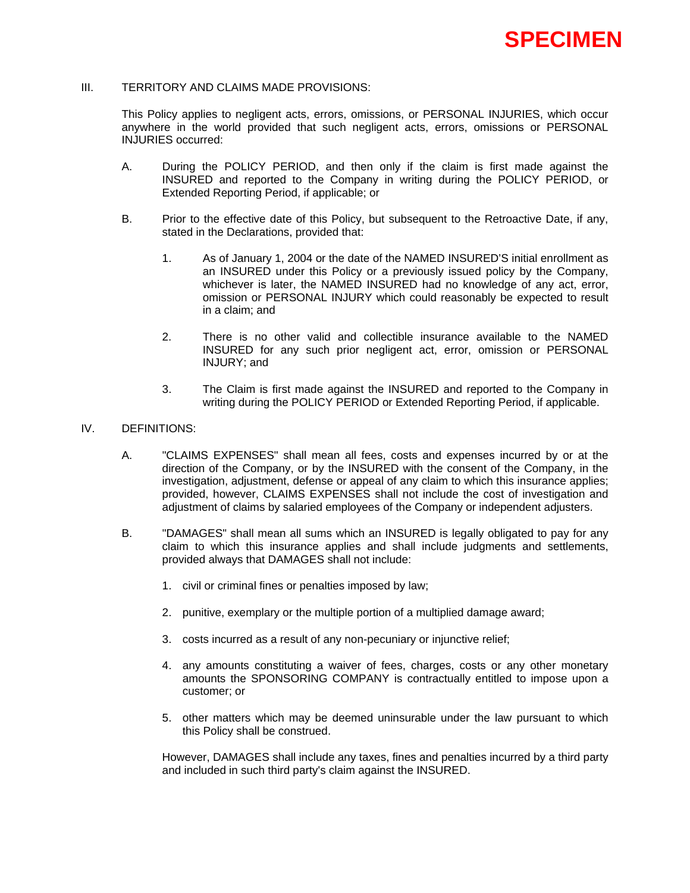## III. TERRITORY AND CLAIMS MADE PROVISIONS:

This Policy applies to negligent acts, errors, omissions, or PERSONAL INJURIES, which occur anywhere in the world provided that such negligent acts, errors, omissions or PERSONAL INJURIES occurred:

- A. During the POLICY PERIOD, and then only if the claim is first made against the INSURED and reported to the Company in writing during the POLICY PERIOD, or Extended Reporting Period, if applicable; or
- B. Prior to the effective date of this Policy, but subsequent to the Retroactive Date, if any, stated in the Declarations, provided that:
	- 1. As of January 1, 2004 or the date of the NAMED INSURED'S initial enrollment as an INSURED under this Policy or a previously issued policy by the Company, whichever is later, the NAMED INSURED had no knowledge of any act, error, omission or PERSONAL INJURY which could reasonably be expected to result in a claim; and
	- 2. There is no other valid and collectible insurance available to the NAMED INSURED for any such prior negligent act, error, omission or PERSONAL INJURY; and
	- 3. The Claim is first made against the INSURED and reported to the Company in writing during the POLICY PERIOD or Extended Reporting Period, if applicable.

### IV. DEFINITIONS:

- A. "CLAIMS EXPENSES" shall mean all fees, costs and expenses incurred by or at the direction of the Company, or by the INSURED with the consent of the Company, in the investigation, adjustment, defense or appeal of any claim to which this insurance applies; provided, however, CLAIMS EXPENSES shall not include the cost of investigation and adjustment of claims by salaried employees of the Company or independent adjusters.
- B. "DAMAGES" shall mean all sums which an INSURED is legally obligated to pay for any claim to which this insurance applies and shall include judgments and settlements, provided always that DAMAGES shall not include:
	- 1. civil or criminal fines or penalties imposed by law;
	- 2. punitive, exemplary or the multiple portion of a multiplied damage award;
	- 3. costs incurred as a result of any non-pecuniary or injunctive relief;
	- 4. any amounts constituting a waiver of fees, charges, costs or any other monetary amounts the SPONSORING COMPANY is contractually entitled to impose upon a customer; or
	- 5. other matters which may be deemed uninsurable under the law pursuant to which this Policy shall be construed.

However, DAMAGES shall include any taxes, fines and penalties incurred by a third party and included in such third party's claim against the INSURED.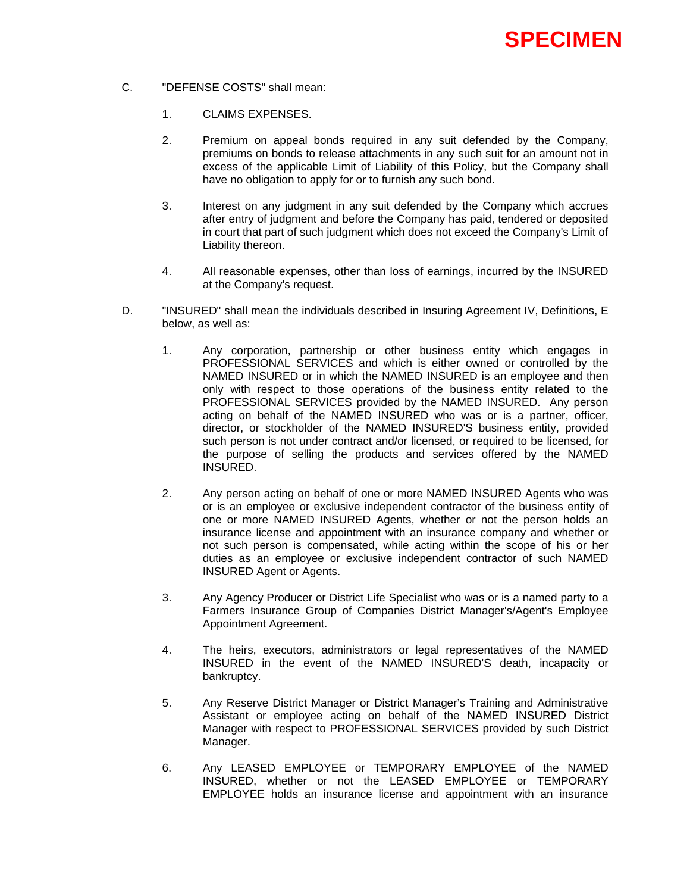- C. "DEFENSE COSTS" shall mean:
	- 1. CLAIMS EXPENSES.
	- 2. Premium on appeal bonds required in any suit defended by the Company, premiums on bonds to release attachments in any such suit for an amount not in excess of the applicable Limit of Liability of this Policy, but the Company shall have no obligation to apply for or to furnish any such bond.
	- 3. Interest on any judgment in any suit defended by the Company which accrues after entry of judgment and before the Company has paid, tendered or deposited in court that part of such judgment which does not exceed the Company's Limit of Liability thereon.
	- 4. All reasonable expenses, other than loss of earnings, incurred by the INSURED at the Company's request.
- D. "INSURED" shall mean the individuals described in Insuring Agreement IV, Definitions, E below, as well as:
	- 1. Any corporation, partnership or other business entity which engages in PROFESSIONAL SERVICES and which is either owned or controlled by the NAMED INSURED or in which the NAMED INSURED is an employee and then only with respect to those operations of the business entity related to the PROFESSIONAL SERVICES provided by the NAMED INSURED. Any person acting on behalf of the NAMED INSURED who was or is a partner, officer, director, or stockholder of the NAMED INSURED'S business entity, provided such person is not under contract and/or licensed, or required to be licensed, for the purpose of selling the products and services offered by the NAMED INSURED.
	- 2. Any person acting on behalf of one or more NAMED INSURED Agents who was or is an employee or exclusive independent contractor of the business entity of one or more NAMED INSURED Agents, whether or not the person holds an insurance license and appointment with an insurance company and whether or not such person is compensated, while acting within the scope of his or her duties as an employee or exclusive independent contractor of such NAMED INSURED Agent or Agents.
	- 3. Any Agency Producer or District Life Specialist who was or is a named party to a Farmers Insurance Group of Companies District Manager's/Agent's Employee Appointment Agreement.
	- 4. The heirs, executors, administrators or legal representatives of the NAMED INSURED in the event of the NAMED INSURED'S death, incapacity or bankruptcy.
	- 5. Any Reserve District Manager or District Manager's Training and Administrative Assistant or employee acting on behalf of the NAMED INSURED District Manager with respect to PROFESSIONAL SERVICES provided by such District Manager.
	- 6. Any LEASED EMPLOYEE or TEMPORARY EMPLOYEE of the NAMED INSURED, whether or not the LEASED EMPLOYEE or TEMPORARY EMPLOYEE holds an insurance license and appointment with an insurance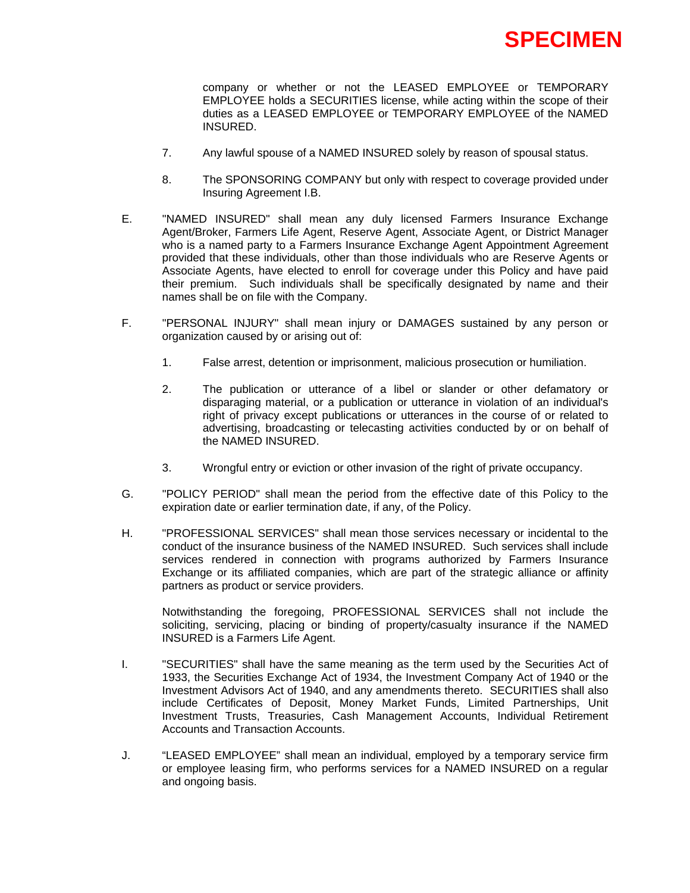

company or whether or not the LEASED EMPLOYEE or TEMPORARY EMPLOYEE holds a SECURITIES license, while acting within the scope of their duties as a LEASED EMPLOYEE or TEMPORARY EMPLOYEE of the NAMED INSURED.

- 7. Any lawful spouse of a NAMED INSURED solely by reason of spousal status.
- 8. The SPONSORING COMPANY but only with respect to coverage provided under Insuring Agreement I.B.
- E. "NAMED INSURED" shall mean any duly licensed Farmers Insurance Exchange Agent/Broker, Farmers Life Agent, Reserve Agent, Associate Agent, or District Manager who is a named party to a Farmers Insurance Exchange Agent Appointment Agreement provided that these individuals, other than those individuals who are Reserve Agents or Associate Agents, have elected to enroll for coverage under this Policy and have paid their premium. Such individuals shall be specifically designated by name and their names shall be on file with the Company.
- F. "PERSONAL INJURY" shall mean injury or DAMAGES sustained by any person or organization caused by or arising out of:
	- 1. False arrest, detention or imprisonment, malicious prosecution or humiliation.
	- 2. The publication or utterance of a libel or slander or other defamatory or disparaging material, or a publication or utterance in violation of an individual's right of privacy except publications or utterances in the course of or related to advertising, broadcasting or telecasting activities conducted by or on behalf of the NAMED INSURED.
	- 3. Wrongful entry or eviction or other invasion of the right of private occupancy.
- G. "POLICY PERIOD" shall mean the period from the effective date of this Policy to the expiration date or earlier termination date, if any, of the Policy.
- H. "PROFESSIONAL SERVICES" shall mean those services necessary or incidental to the conduct of the insurance business of the NAMED INSURED. Such services shall include services rendered in connection with programs authorized by Farmers Insurance Exchange or its affiliated companies, which are part of the strategic alliance or affinity partners as product or service providers.

Notwithstanding the foregoing, PROFESSIONAL SERVICES shall not include the soliciting, servicing, placing or binding of property/casualty insurance if the NAMED INSURED is a Farmers Life Agent.

- I. "SECURITIES" shall have the same meaning as the term used by the Securities Act of 1933, the Securities Exchange Act of 1934, the Investment Company Act of 1940 or the Investment Advisors Act of 1940, and any amendments thereto. SECURITIES shall also include Certificates of Deposit, Money Market Funds, Limited Partnerships, Unit Investment Trusts, Treasuries, Cash Management Accounts, Individual Retirement Accounts and Transaction Accounts.
- J. "LEASED EMPLOYEE" shall mean an individual, employed by a temporary service firm or employee leasing firm, who performs services for a NAMED INSURED on a regular and ongoing basis.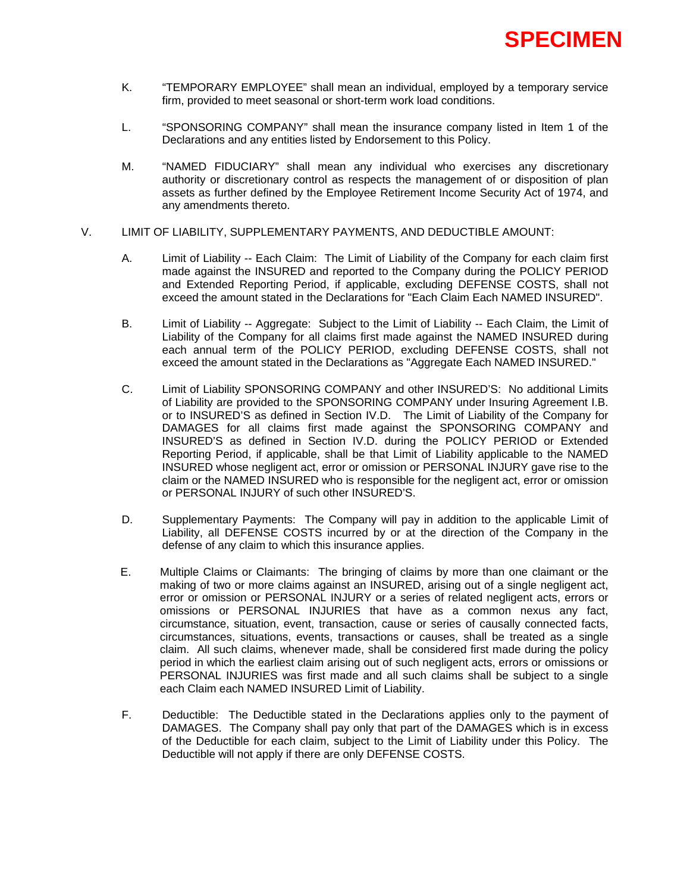

- K. "TEMPORARY EMPLOYEE" shall mean an individual, employed by a temporary service firm, provided to meet seasonal or short-term work load conditions.
- L. "SPONSORING COMPANY" shall mean the insurance company listed in Item 1 of the Declarations and any entities listed by Endorsement to this Policy.
- M. "NAMED FIDUCIARY" shall mean any individual who exercises any discretionary authority or discretionary control as respects the management of or disposition of plan assets as further defined by the Employee Retirement Income Security Act of 1974, and any amendments thereto.
- V. LIMIT OF LIABILITY, SUPPLEMENTARY PAYMENTS, AND DEDUCTIBLE AMOUNT:
	- A. Limit of Liability -- Each Claim: The Limit of Liability of the Company for each claim first made against the INSURED and reported to the Company during the POLICY PERIOD and Extended Reporting Period, if applicable, excluding DEFENSE COSTS, shall not exceed the amount stated in the Declarations for "Each Claim Each NAMED INSURED".
	- B. Limit of Liability -- Aggregate: Subject to the Limit of Liability -- Each Claim, the Limit of Liability of the Company for all claims first made against the NAMED INSURED during each annual term of the POLICY PERIOD, excluding DEFENSE COSTS, shall not exceed the amount stated in the Declarations as "Aggregate Each NAMED INSURED."
	- C. Limit of Liability SPONSORING COMPANY and other INSURED'S: No additional Limits of Liability are provided to the SPONSORING COMPANY under Insuring Agreement I.B. or to INSURED'S as defined in Section IV.D. The Limit of Liability of the Company for DAMAGES for all claims first made against the SPONSORING COMPANY and INSURED'S as defined in Section IV.D. during the POLICY PERIOD or Extended Reporting Period, if applicable, shall be that Limit of Liability applicable to the NAMED INSURED whose negligent act, error or omission or PERSONAL INJURY gave rise to the claim or the NAMED INSURED who is responsible for the negligent act, error or omission or PERSONAL INJURY of such other INSURED'S.
	- D. Supplementary Payments: The Company will pay in addition to the applicable Limit of Liability, all DEFENSE COSTS incurred by or at the direction of the Company in the defense of any claim to which this insurance applies.
	- E. Multiple Claims or Claimants: The bringing of claims by more than one claimant or the making of two or more claims against an INSURED, arising out of a single negligent act, error or omission or PERSONAL INJURY or a series of related negligent acts, errors or omissions or PERSONAL INJURIES that have as a common nexus any fact, circumstance, situation, event, transaction, cause or series of causally connected facts, circumstances, situations, events, transactions or causes, shall be treated as a single claim. All such claims, whenever made, shall be considered first made during the policy period in which the earliest claim arising out of such negligent acts, errors or omissions or PERSONAL INJURIES was first made and all such claims shall be subject to a single each Claim each NAMED INSURED Limit of Liability.
	- F. Deductible: The Deductible stated in the Declarations applies only to the payment of DAMAGES. The Company shall pay only that part of the DAMAGES which is in excess of the Deductible for each claim, subject to the Limit of Liability under this Policy. The Deductible will not apply if there are only DEFENSE COSTS.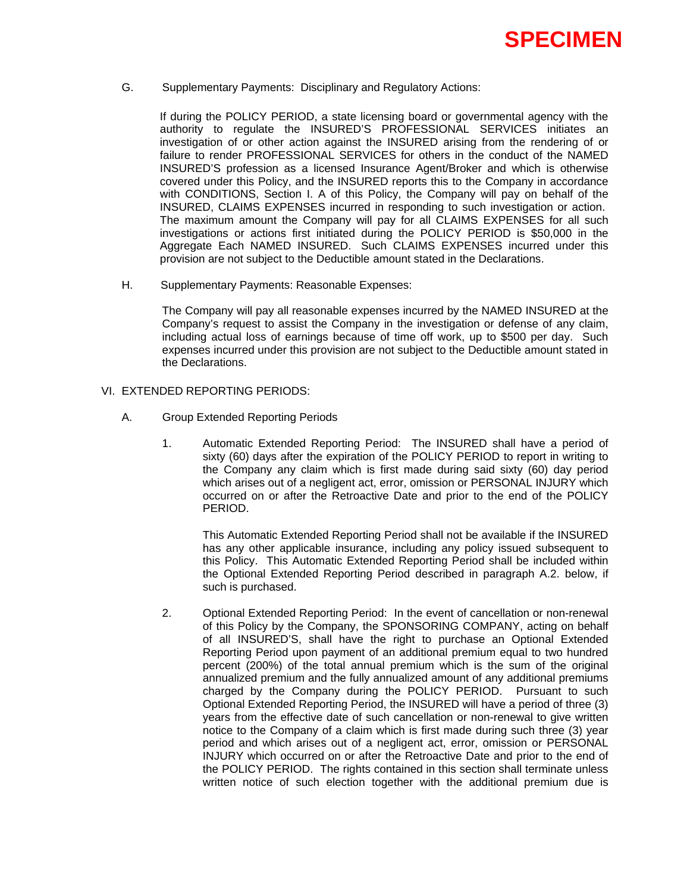

G. Supplementary Payments: Disciplinary and Regulatory Actions:

If during the POLICY PERIOD, a state licensing board or governmental agency with the authority to regulate the INSURED'S PROFESSIONAL SERVICES initiates an investigation of or other action against the INSURED arising from the rendering of or failure to render PROFESSIONAL SERVICES for others in the conduct of the NAMED INSURED'S profession as a licensed Insurance Agent/Broker and which is otherwise covered under this Policy, and the INSURED reports this to the Company in accordance with CONDITIONS, Section I. A of this Policy, the Company will pay on behalf of the INSURED, CLAIMS EXPENSES incurred in responding to such investigation or action. The maximum amount the Company will pay for all CLAIMS EXPENSES for all such investigations or actions first initiated during the POLICY PERIOD is \$50,000 in the Aggregate Each NAMED INSURED. Such CLAIMS EXPENSES incurred under this provision are not subject to the Deductible amount stated in the Declarations.

H. Supplementary Payments: Reasonable Expenses:

The Company will pay all reasonable expenses incurred by the NAMED INSURED at the Company's request to assist the Company in the investigation or defense of any claim, including actual loss of earnings because of time off work, up to \$500 per day. Such expenses incurred under this provision are not subject to the Deductible amount stated in the Declarations.

## VI. EXTENDED REPORTING PERIODS:

- A. Group Extended Reporting Periods
	- 1. Automatic Extended Reporting Period: The INSURED shall have a period of sixty (60) days after the expiration of the POLICY PERIOD to report in writing to the Company any claim which is first made during said sixty (60) day period which arises out of a negligent act, error, omission or PERSONAL INJURY which occurred on or after the Retroactive Date and prior to the end of the POLICY PERIOD.

This Automatic Extended Reporting Period shall not be available if the INSURED has any other applicable insurance, including any policy issued subsequent to this Policy. This Automatic Extended Reporting Period shall be included within the Optional Extended Reporting Period described in paragraph A.2. below, if such is purchased.

2. Optional Extended Reporting Period: In the event of cancellation or non-renewal of this Policy by the Company, the SPONSORING COMPANY, acting on behalf of all INSURED'S, shall have the right to purchase an Optional Extended Reporting Period upon payment of an additional premium equal to two hundred percent (200%) of the total annual premium which is the sum of the original annualized premium and the fully annualized amount of any additional premiums charged by the Company during the POLICY PERIOD. Pursuant to such Optional Extended Reporting Period, the INSURED will have a period of three (3) years from the effective date of such cancellation or non-renewal to give written notice to the Company of a claim which is first made during such three (3) year period and which arises out of a negligent act, error, omission or PERSONAL INJURY which occurred on or after the Retroactive Date and prior to the end of the POLICY PERIOD. The rights contained in this section shall terminate unless written notice of such election together with the additional premium due is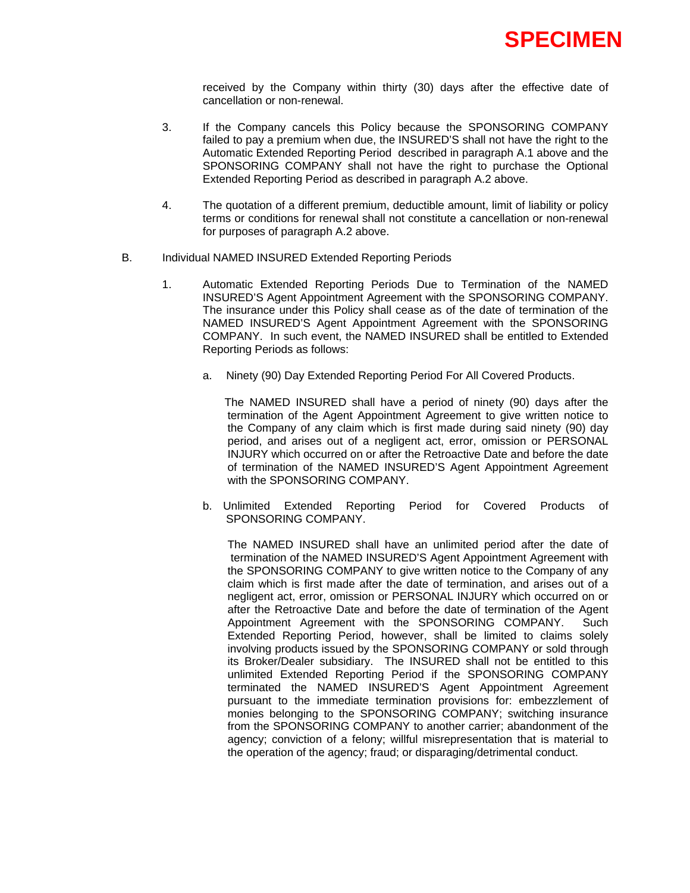received by the Company within thirty (30) days after the effective date of cancellation or non-renewal.

- 3. If the Company cancels this Policy because the SPONSORING COMPANY failed to pay a premium when due, the INSURED'S shall not have the right to the Automatic Extended Reporting Period described in paragraph A.1 above and the SPONSORING COMPANY shall not have the right to purchase the Optional Extended Reporting Period as described in paragraph A.2 above.
- 4. The quotation of a different premium, deductible amount, limit of liability or policy terms or conditions for renewal shall not constitute a cancellation or non-renewal for purposes of paragraph A.2 above.
- B. Individual NAMED INSURED Extended Reporting Periods
	- 1. Automatic Extended Reporting Periods Due to Termination of the NAMED INSURED'S Agent Appointment Agreement with the SPONSORING COMPANY. The insurance under this Policy shall cease as of the date of termination of the NAMED INSURED'S Agent Appointment Agreement with the SPONSORING COMPANY. In such event, the NAMED INSURED shall be entitled to Extended Reporting Periods as follows:
		- a. Ninety (90) Day Extended Reporting Period For All Covered Products.

 The NAMED INSURED shall have a period of ninety (90) days after the termination of the Agent Appointment Agreement to give written notice to the Company of any claim which is first made during said ninety (90) day period, and arises out of a negligent act, error, omission or PERSONAL INJURY which occurred on or after the Retroactive Date and before the date of termination of the NAMED INSURED'S Agent Appointment Agreement with the SPONSORING COMPANY.

b. Unlimited Extended Reporting Period for Covered Products of SPONSORING COMPANY.

The NAMED INSURED shall have an unlimited period after the date of termination of the NAMED INSURED'S Agent Appointment Agreement with the SPONSORING COMPANY to give written notice to the Company of any claim which is first made after the date of termination, and arises out of a negligent act, error, omission or PERSONAL INJURY which occurred on or after the Retroactive Date and before the date of termination of the Agent Appointment Agreement with the SPONSORING COMPANY. Such Extended Reporting Period, however, shall be limited to claims solely involving products issued by the SPONSORING COMPANY or sold through its Broker/Dealer subsidiary. The INSURED shall not be entitled to this unlimited Extended Reporting Period if the SPONSORING COMPANY terminated the NAMED INSURED'S Agent Appointment Agreement pursuant to the immediate termination provisions for: embezzlement of monies belonging to the SPONSORING COMPANY; switching insurance from the SPONSORING COMPANY to another carrier; abandonment of the agency; conviction of a felony; willful misrepresentation that is material to the operation of the agency; fraud; or disparaging/detrimental conduct.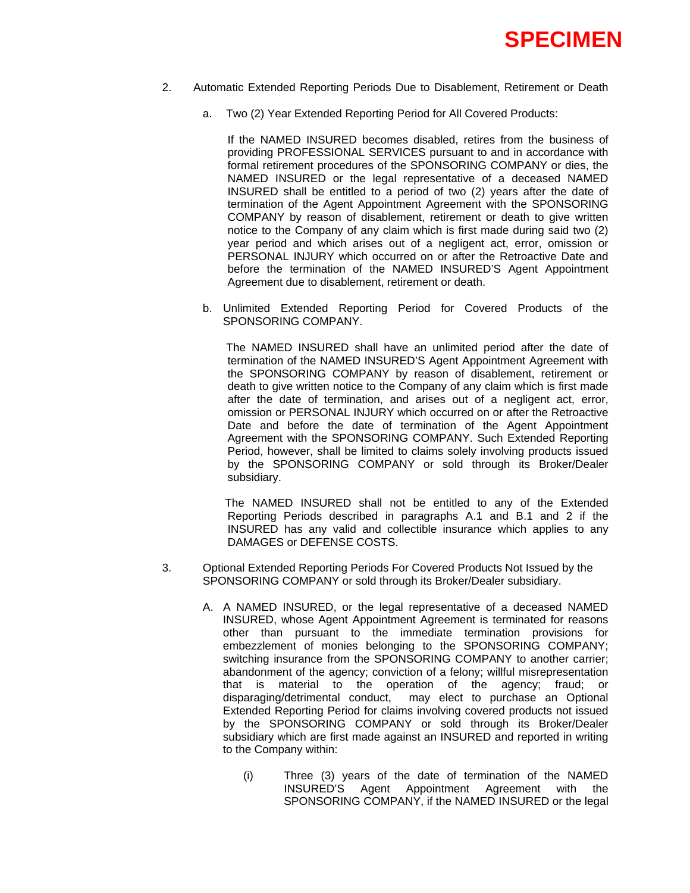

- 2. Automatic Extended Reporting Periods Due to Disablement, Retirement or Death
	- a. Two (2) Year Extended Reporting Period for All Covered Products:

If the NAMED INSURED becomes disabled, retires from the business of providing PROFESSIONAL SERVICES pursuant to and in accordance with formal retirement procedures of the SPONSORING COMPANY or dies, the NAMED INSURED or the legal representative of a deceased NAMED INSURED shall be entitled to a period of two (2) years after the date of termination of the Agent Appointment Agreement with the SPONSORING COMPANY by reason of disablement, retirement or death to give written notice to the Company of any claim which is first made during said two (2) year period and which arises out of a negligent act, error, omission or PERSONAL INJURY which occurred on or after the Retroactive Date and before the termination of the NAMED INSURED'S Agent Appointment Agreement due to disablement, retirement or death.

b. Unlimited Extended Reporting Period for Covered Products of the SPONSORING COMPANY.

 The NAMED INSURED shall have an unlimited period after the date of termination of the NAMED INSURED'S Agent Appointment Agreement with the SPONSORING COMPANY by reason of disablement, retirement or death to give written notice to the Company of any claim which is first made after the date of termination, and arises out of a negligent act, error, omission or PERSONAL INJURY which occurred on or after the Retroactive Date and before the date of termination of the Agent Appointment Agreement with the SPONSORING COMPANY. Such Extended Reporting Period, however, shall be limited to claims solely involving products issued by the SPONSORING COMPANY or sold through its Broker/Dealer subsidiary.

 The NAMED INSURED shall not be entitled to any of the Extended Reporting Periods described in paragraphs A.1 and B.1 and 2 if the INSURED has any valid and collectible insurance which applies to any DAMAGES or DEFENSE COSTS.

- 3. Optional Extended Reporting Periods For Covered Products Not Issued by the SPONSORING COMPANY or sold through its Broker/Dealer subsidiary.
	- A. A NAMED INSURED, or the legal representative of a deceased NAMED INSURED, whose Agent Appointment Agreement is terminated for reasons other than pursuant to the immediate termination provisions for embezzlement of monies belonging to the SPONSORING COMPANY; switching insurance from the SPONSORING COMPANY to another carrier; abandonment of the agency; conviction of a felony; willful misrepresentation that is material to the operation of the agency; fraud; or disparaging/detrimental conduct, may elect to purchase an Optional Extended Reporting Period for claims involving covered products not issued by the SPONSORING COMPANY or sold through its Broker/Dealer subsidiary which are first made against an INSURED and reported in writing to the Company within:
		- (i) Three (3) years of the date of termination of the NAMED INSURED'S Agent Appointment Agreement with the SPONSORING COMPANY, if the NAMED INSURED or the legal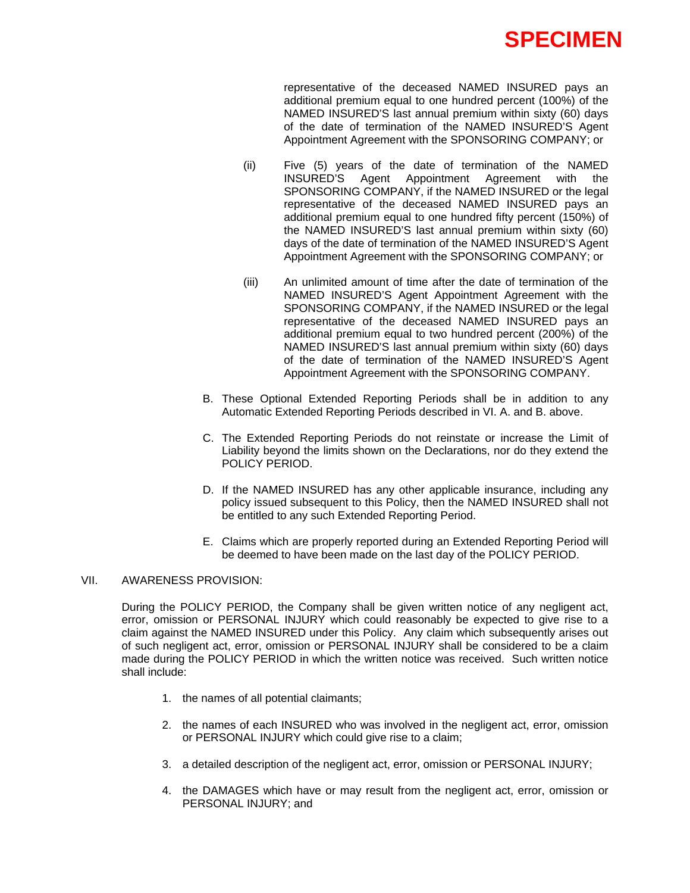

representative of the deceased NAMED INSURED pays an additional premium equal to one hundred percent (100%) of the NAMED INSURED'S last annual premium within sixty (60) days of the date of termination of the NAMED INSURED'S Agent Appointment Agreement with the SPONSORING COMPANY; or

- (ii) Five (5) years of the date of termination of the NAMED INSURED'S Agent Appointment Agreement with the SPONSORING COMPANY, if the NAMED INSURED or the legal representative of the deceased NAMED INSURED pays an additional premium equal to one hundred fifty percent (150%) of the NAMED INSURED'S last annual premium within sixty (60) days of the date of termination of the NAMED INSURED'S Agent Appointment Agreement with the SPONSORING COMPANY; or
- (iii) An unlimited amount of time after the date of termination of the NAMED INSURED'S Agent Appointment Agreement with the SPONSORING COMPANY, if the NAMED INSURED or the legal representative of the deceased NAMED INSURED pays an additional premium equal to two hundred percent (200%) of the NAMED INSURED'S last annual premium within sixty (60) days of the date of termination of the NAMED INSURED'S Agent Appointment Agreement with the SPONSORING COMPANY.
- B. These Optional Extended Reporting Periods shall be in addition to any Automatic Extended Reporting Periods described in VI. A. and B. above.
- C. The Extended Reporting Periods do not reinstate or increase the Limit of Liability beyond the limits shown on the Declarations, nor do they extend the POLICY PERIOD.
- D. If the NAMED INSURED has any other applicable insurance, including any policy issued subsequent to this Policy, then the NAMED INSURED shall not be entitled to any such Extended Reporting Period.
- E. Claims which are properly reported during an Extended Reporting Period will be deemed to have been made on the last day of the POLICY PERIOD.

### VII. AWARENESS PROVISION:

During the POLICY PERIOD, the Company shall be given written notice of any negligent act, error, omission or PERSONAL INJURY which could reasonably be expected to give rise to a claim against the NAMED INSURED under this Policy. Any claim which subsequently arises out of such negligent act, error, omission or PERSONAL INJURY shall be considered to be a claim made during the POLICY PERIOD in which the written notice was received. Such written notice shall include:

- 1. the names of all potential claimants;
- 2. the names of each INSURED who was involved in the negligent act, error, omission or PERSONAL INJURY which could give rise to a claim;
- 3. a detailed description of the negligent act, error, omission or PERSONAL INJURY;
- 4. the DAMAGES which have or may result from the negligent act, error, omission or PERSONAL INJURY; and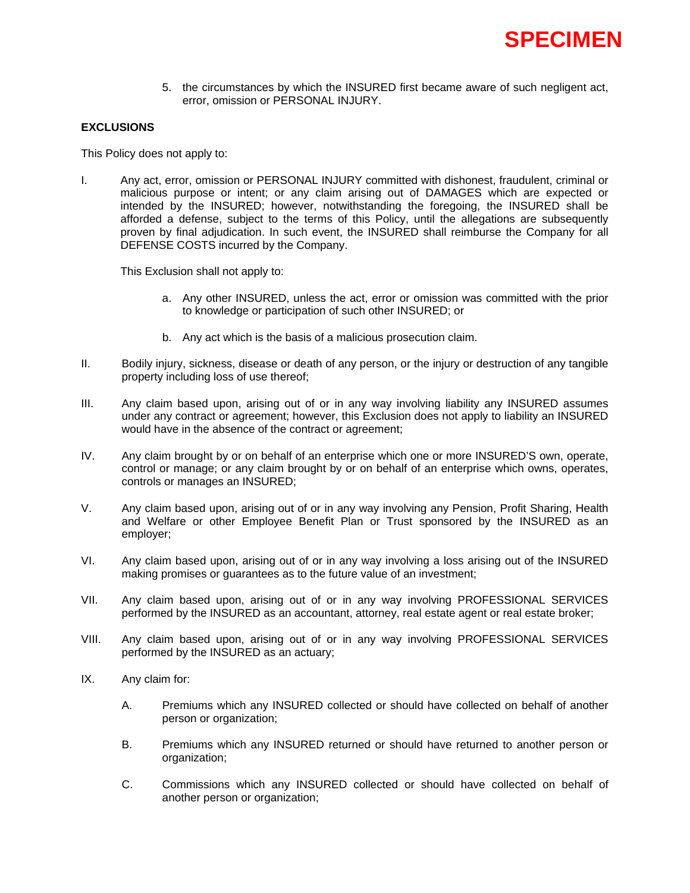5. the circumstances by which the INSURED first became aware of such negligent act, error, omission or PERSONAL INJURY.

## **EXCLUSIONS**

This Policy does not apply to:

I. Any act, error, omission or PERSONAL INJURY committed with dishonest, fraudulent, criminal or malicious purpose or intent; or any claim arising out of DAMAGES which are expected or intended by the INSURED; however, notwithstanding the foregoing, the INSURED shall be afforded a defense, subject to the terms of this Policy, until the allegations are subsequently proven by final adjudication. In such event, the INSURED shall reimburse the Company for all DEFENSE COSTS incurred by the Company.

This Exclusion shall not apply to:

- a. Any other INSURED, unless the act, error or omission was committed with the prior to knowledge or participation of such other INSURED; or
- b. Any act which is the basis of a malicious prosecution claim.
- II. Bodily injury, sickness, disease or death of any person, or the injury or destruction of any tangible property including loss of use thereof;
- III. Any claim based upon, arising out of or in any way involving liability any INSURED assumes under any contract or agreement; however, this Exclusion does not apply to liability an INSURED would have in the absence of the contract or agreement;
- IV. Any claim brought by or on behalf of an enterprise which one or more INSURED'S own, operate, control or manage; or any claim brought by or on behalf of an enterprise which owns, operates, controls or manages an INSURED;
- V. Any claim based upon, arising out of or in any way involving any Pension, Profit Sharing, Health and Welfare or other Employee Benefit Plan or Trust sponsored by the INSURED as an employer;
- VI. Any claim based upon, arising out of or in any way involving a loss arising out of the INSURED making promises or guarantees as to the future value of an investment;
- VII. Any claim based upon, arising out of or in any way involving PROFESSIONAL SERVICES performed by the INSURED as an accountant, attorney, real estate agent or real estate broker;
- VIII. Any claim based upon, arising out of or in any way involving PROFESSIONAL SERVICES performed by the INSURED as an actuary;
- IX. Any claim for:
	- A. Premiums which any INSURED collected or should have collected on behalf of another person or organization;
	- B. Premiums which any INSURED returned or should have returned to another person or organization;
	- C. Commissions which any INSURED collected or should have collected on behalf of another person or organization;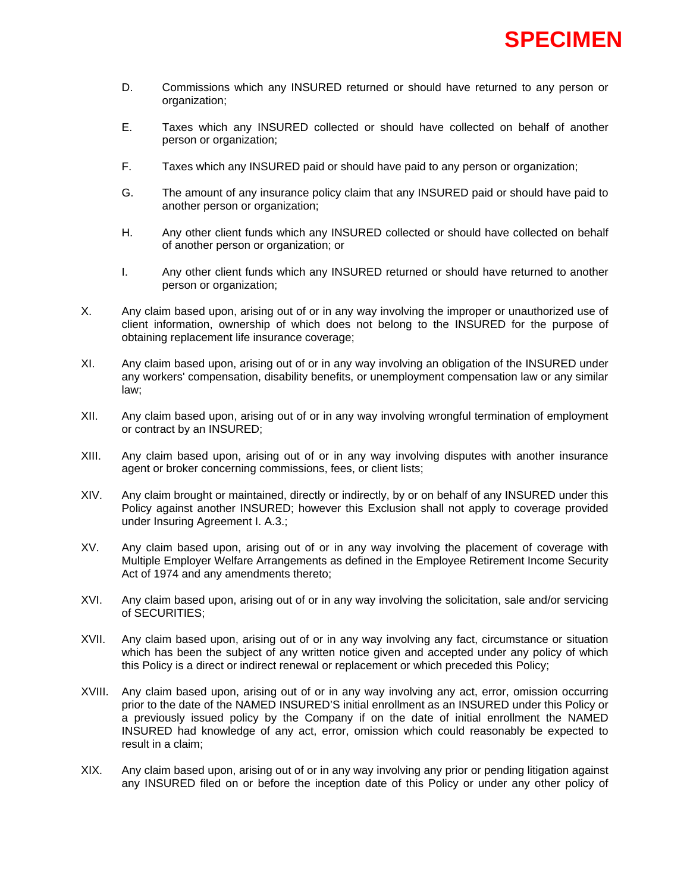- D. Commissions which any INSURED returned or should have returned to any person or organization;
- E. Taxes which any INSURED collected or should have collected on behalf of another person or organization;
- F. Taxes which any INSURED paid or should have paid to any person or organization;
- G. The amount of any insurance policy claim that any INSURED paid or should have paid to another person or organization;
- H. Any other client funds which any INSURED collected or should have collected on behalf of another person or organization; or
- I. Any other client funds which any INSURED returned or should have returned to another person or organization;
- X. Any claim based upon, arising out of or in any way involving the improper or unauthorized use of client information, ownership of which does not belong to the INSURED for the purpose of obtaining replacement life insurance coverage;
- XI. Any claim based upon, arising out of or in any way involving an obligation of the INSURED under any workers' compensation, disability benefits, or unemployment compensation law or any similar law;
- XII. Any claim based upon, arising out of or in any way involving wrongful termination of employment or contract by an INSURED;
- XIII. Any claim based upon, arising out of or in any way involving disputes with another insurance agent or broker concerning commissions, fees, or client lists;
- XIV. Any claim brought or maintained, directly or indirectly, by or on behalf of any INSURED under this Policy against another INSURED; however this Exclusion shall not apply to coverage provided under Insuring Agreement I. A.3.;
- XV. Any claim based upon, arising out of or in any way involving the placement of coverage with Multiple Employer Welfare Arrangements as defined in the Employee Retirement Income Security Act of 1974 and any amendments thereto;
- XVI. Any claim based upon, arising out of or in any way involving the solicitation, sale and/or servicing of SECURITIES;
- XVII. Any claim based upon, arising out of or in any way involving any fact, circumstance or situation which has been the subject of any written notice given and accepted under any policy of which this Policy is a direct or indirect renewal or replacement or which preceded this Policy;
- XVIII. Any claim based upon, arising out of or in any way involving any act, error, omission occurring prior to the date of the NAMED INSURED'S initial enrollment as an INSURED under this Policy or a previously issued policy by the Company if on the date of initial enrollment the NAMED INSURED had knowledge of any act, error, omission which could reasonably be expected to result in a claim;
- XIX. Any claim based upon, arising out of or in any way involving any prior or pending litigation against any INSURED filed on or before the inception date of this Policy or under any other policy of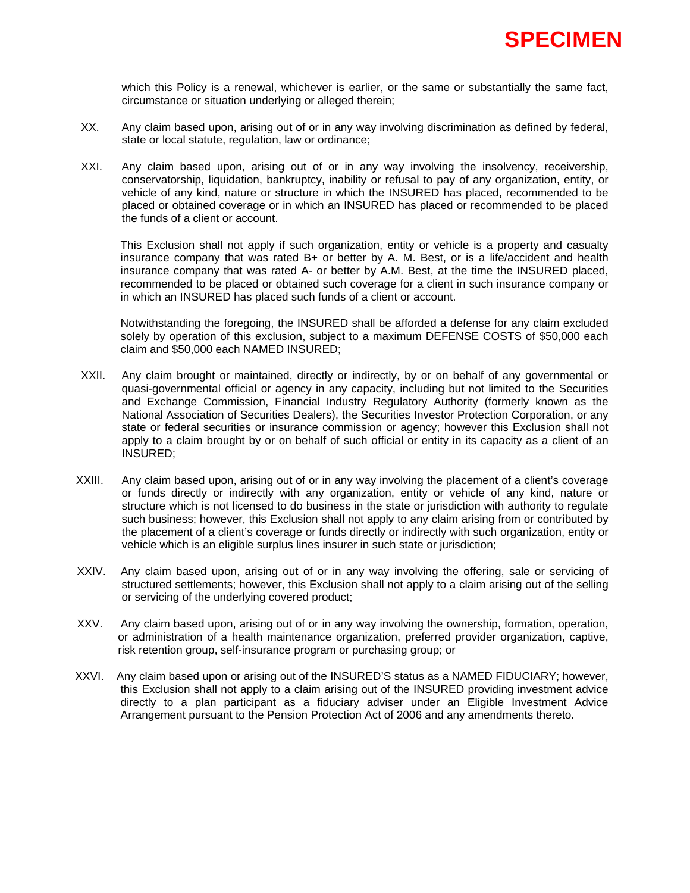

which this Policy is a renewal, whichever is earlier, or the same or substantially the same fact, circumstance or situation underlying or alleged therein;

- XX. Any claim based upon, arising out of or in any way involving discrimination as defined by federal, state or local statute, regulation, law or ordinance;
- XXI. Any claim based upon, arising out of or in any way involving the insolvency, receivership, conservatorship, liquidation, bankruptcy, inability or refusal to pay of any organization, entity, or vehicle of any kind, nature or structure in which the INSURED has placed, recommended to be placed or obtained coverage or in which an INSURED has placed or recommended to be placed the funds of a client or account.

This Exclusion shall not apply if such organization, entity or vehicle is a property and casualty insurance company that was rated B+ or better by A. M. Best, or is a life/accident and health insurance company that was rated A- or better by A.M. Best, at the time the INSURED placed, recommended to be placed or obtained such coverage for a client in such insurance company or in which an INSURED has placed such funds of a client or account.

Notwithstanding the foregoing, the INSURED shall be afforded a defense for any claim excluded solely by operation of this exclusion, subject to a maximum DEFENSE COSTS of \$50,000 each claim and \$50,000 each NAMED INSURED;

- XXII. Any claim brought or maintained, directly or indirectly, by or on behalf of any governmental or quasi-governmental official or agency in any capacity, including but not limited to the Securities and Exchange Commission, Financial Industry Regulatory Authority (formerly known as the National Association of Securities Dealers), the Securities Investor Protection Corporation, or any state or federal securities or insurance commission or agency; however this Exclusion shall not apply to a claim brought by or on behalf of such official or entity in its capacity as a client of an INSURED;
- XXIII. Any claim based upon, arising out of or in any way involving the placement of a client's coverage or funds directly or indirectly with any organization, entity or vehicle of any kind, nature or structure which is not licensed to do business in the state or jurisdiction with authority to regulate such business; however, this Exclusion shall not apply to any claim arising from or contributed by the placement of a client's coverage or funds directly or indirectly with such organization, entity or vehicle which is an eligible surplus lines insurer in such state or jurisdiction;
- XXIV. Any claim based upon, arising out of or in any way involving the offering, sale or servicing of structured settlements; however, this Exclusion shall not apply to a claim arising out of the selling or servicing of the underlying covered product;
- XXV. Any claim based upon, arising out of or in any way involving the ownership, formation, operation, or administration of a health maintenance organization, preferred provider organization, captive, risk retention group, self-insurance program or purchasing group; or
- XXVI. Any claim based upon or arising out of the INSURED'S status as a NAMED FIDUCIARY; however, this Exclusion shall not apply to a claim arising out of the INSURED providing investment advice directly to a plan participant as a fiduciary adviser under an Eligible Investment Advice Arrangement pursuant to the Pension Protection Act of 2006 and any amendments thereto.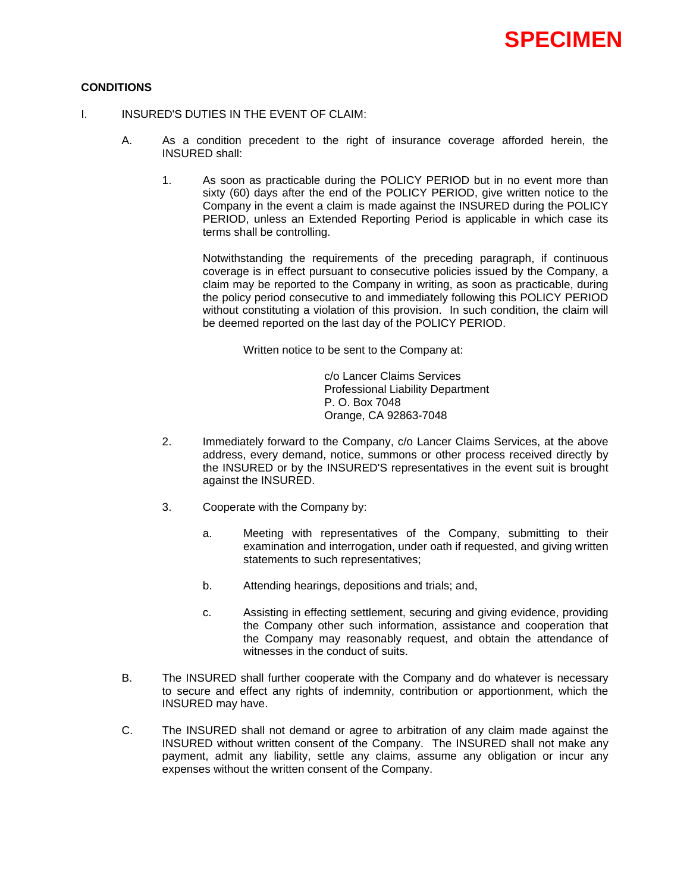

## **CONDITIONS**

- I. INSURED'S DUTIES IN THE EVENT OF CLAIM:
	- A. As a condition precedent to the right of insurance coverage afforded herein, the INSURED shall:
		- 1. As soon as practicable during the POLICY PERIOD but in no event more than sixty (60) days after the end of the POLICY PERIOD, give written notice to the Company in the event a claim is made against the INSURED during the POLICY PERIOD, unless an Extended Reporting Period is applicable in which case its terms shall be controlling.

Notwithstanding the requirements of the preceding paragraph, if continuous coverage is in effect pursuant to consecutive policies issued by the Company, a claim may be reported to the Company in writing, as soon as practicable, during the policy period consecutive to and immediately following this POLICY PERIOD without constituting a violation of this provision. In such condition, the claim will be deemed reported on the last day of the POLICY PERIOD.

Written notice to be sent to the Company at:

 c/o Lancer Claims Services Professional Liability Department P. O. Box 7048 Orange, CA 92863-7048

- 2. Immediately forward to the Company, c/o Lancer Claims Services, at the above address, every demand, notice, summons or other process received directly by the INSURED or by the INSURED'S representatives in the event suit is brought against the INSURED.
- 3. Cooperate with the Company by:
	- a. Meeting with representatives of the Company, submitting to their examination and interrogation, under oath if requested, and giving written statements to such representatives;
	- b. Attending hearings, depositions and trials; and,
	- c. Assisting in effecting settlement, securing and giving evidence, providing the Company other such information, assistance and cooperation that the Company may reasonably request, and obtain the attendance of witnesses in the conduct of suits.
- B. The INSURED shall further cooperate with the Company and do whatever is necessary to secure and effect any rights of indemnity, contribution or apportionment, which the INSURED may have.
- C. The INSURED shall not demand or agree to arbitration of any claim made against the INSURED without written consent of the Company. The INSURED shall not make any payment, admit any liability, settle any claims, assume any obligation or incur any expenses without the written consent of the Company.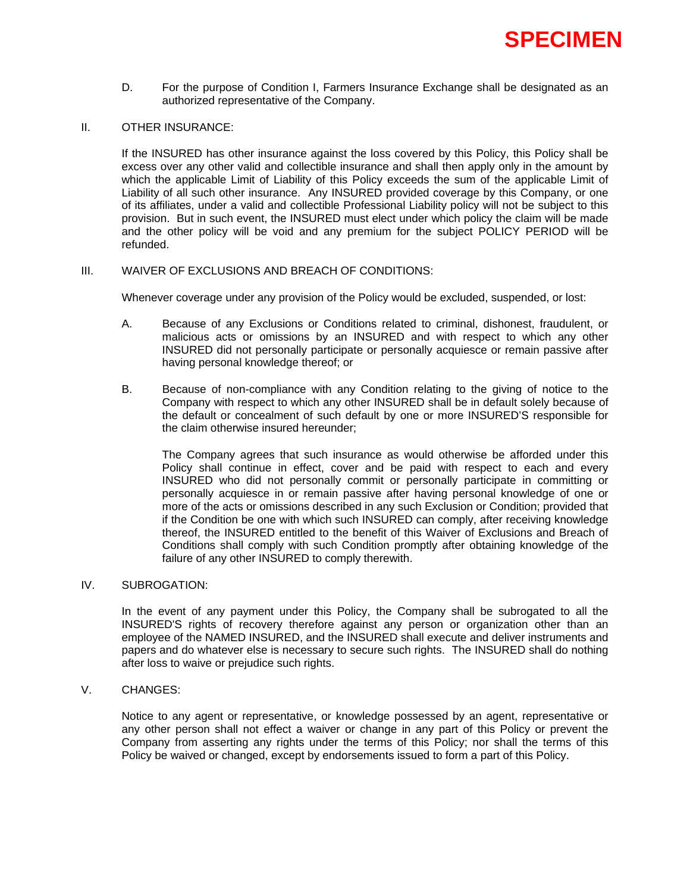

D. For the purpose of Condition I, Farmers Insurance Exchange shall be designated as an authorized representative of the Company.

### II. OTHER INSURANCE:

If the INSURED has other insurance against the loss covered by this Policy, this Policy shall be excess over any other valid and collectible insurance and shall then apply only in the amount by which the applicable Limit of Liability of this Policy exceeds the sum of the applicable Limit of Liability of all such other insurance. Any INSURED provided coverage by this Company, or one of its affiliates, under a valid and collectible Professional Liability policy will not be subject to this provision. But in such event, the INSURED must elect under which policy the claim will be made and the other policy will be void and any premium for the subject POLICY PERIOD will be refunded.

#### III. WAIVER OF EXCLUSIONS AND BREACH OF CONDITIONS:

Whenever coverage under any provision of the Policy would be excluded, suspended, or lost:

- A. Because of any Exclusions or Conditions related to criminal, dishonest, fraudulent, or malicious acts or omissions by an INSURED and with respect to which any other INSURED did not personally participate or personally acquiesce or remain passive after having personal knowledge thereof; or
- B. Because of non-compliance with any Condition relating to the giving of notice to the Company with respect to which any other INSURED shall be in default solely because of the default or concealment of such default by one or more INSURED'S responsible for the claim otherwise insured hereunder;

The Company agrees that such insurance as would otherwise be afforded under this Policy shall continue in effect, cover and be paid with respect to each and every INSURED who did not personally commit or personally participate in committing or personally acquiesce in or remain passive after having personal knowledge of one or more of the acts or omissions described in any such Exclusion or Condition; provided that if the Condition be one with which such INSURED can comply, after receiving knowledge thereof, the INSURED entitled to the benefit of this Waiver of Exclusions and Breach of Conditions shall comply with such Condition promptly after obtaining knowledge of the failure of any other INSURED to comply therewith.

## IV. SUBROGATION:

In the event of any payment under this Policy, the Company shall be subrogated to all the INSURED'S rights of recovery therefore against any person or organization other than an employee of the NAMED INSURED, and the INSURED shall execute and deliver instruments and papers and do whatever else is necessary to secure such rights. The INSURED shall do nothing after loss to waive or prejudice such rights.

## V. CHANGES:

Notice to any agent or representative, or knowledge possessed by an agent, representative or any other person shall not effect a waiver or change in any part of this Policy or prevent the Company from asserting any rights under the terms of this Policy; nor shall the terms of this Policy be waived or changed, except by endorsements issued to form a part of this Policy.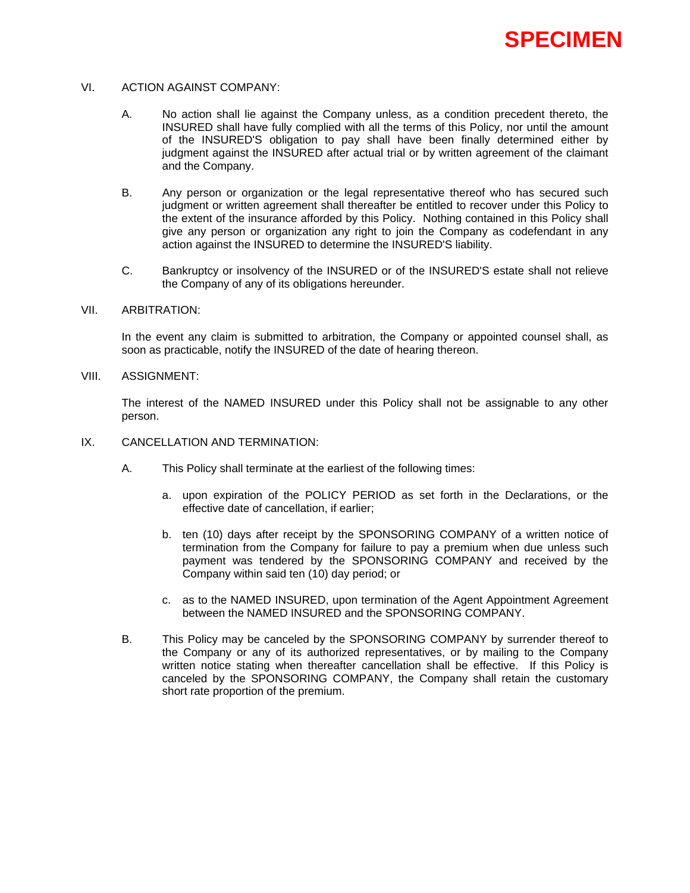### VI. ACTION AGAINST COMPANY:

- A. No action shall lie against the Company unless, as a condition precedent thereto, the INSURED shall have fully complied with all the terms of this Policy, nor until the amount of the INSURED'S obligation to pay shall have been finally determined either by judgment against the INSURED after actual trial or by written agreement of the claimant and the Company.
- B. Any person or organization or the legal representative thereof who has secured such judgment or written agreement shall thereafter be entitled to recover under this Policy to the extent of the insurance afforded by this Policy. Nothing contained in this Policy shall give any person or organization any right to join the Company as codefendant in any action against the INSURED to determine the INSURED'S liability.
- C. Bankruptcy or insolvency of the INSURED or of the INSURED'S estate shall not relieve the Company of any of its obligations hereunder.

## VII. ARBITRATION:

In the event any claim is submitted to arbitration, the Company or appointed counsel shall, as soon as practicable, notify the INSURED of the date of hearing thereon.

VIII. ASSIGNMENT:

The interest of the NAMED INSURED under this Policy shall not be assignable to any other person.

- IX. CANCELLATION AND TERMINATION:
	- A. This Policy shall terminate at the earliest of the following times:
		- a. upon expiration of the POLICY PERIOD as set forth in the Declarations, or the effective date of cancellation, if earlier;
		- b. ten (10) days after receipt by the SPONSORING COMPANY of a written notice of termination from the Company for failure to pay a premium when due unless such payment was tendered by the SPONSORING COMPANY and received by the Company within said ten (10) day period; or
		- c. as to the NAMED INSURED, upon termination of the Agent Appointment Agreement between the NAMED INSURED and the SPONSORING COMPANY.
	- B. This Policy may be canceled by the SPONSORING COMPANY by surrender thereof to the Company or any of its authorized representatives, or by mailing to the Company written notice stating when thereafter cancellation shall be effective. If this Policy is canceled by the SPONSORING COMPANY, the Company shall retain the customary short rate proportion of the premium.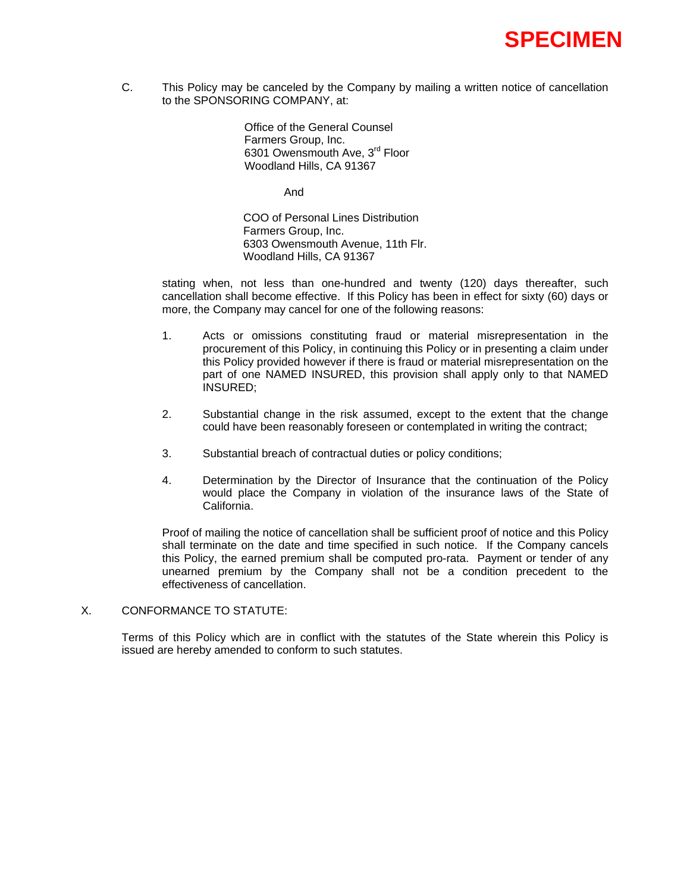C. This Policy may be canceled by the Company by mailing a written notice of cancellation to the SPONSORING COMPANY, at:

> Office of the General Counsel Farmers Group, Inc. 6301 Owensmouth Ave, 3<sup>rd</sup> Floor Woodland Hills, CA 91367

> > And

COO of Personal Lines Distribution Farmers Group, Inc. 6303 Owensmouth Avenue, 11th Flr. Woodland Hills, CA 91367

stating when, not less than one-hundred and twenty (120) days thereafter, such cancellation shall become effective. If this Policy has been in effect for sixty (60) days or more, the Company may cancel for one of the following reasons:

- 1. Acts or omissions constituting fraud or material misrepresentation in the procurement of this Policy, in continuing this Policy or in presenting a claim under this Policy provided however if there is fraud or material misrepresentation on the part of one NAMED INSURED, this provision shall apply only to that NAMED INSURED;
- 2. Substantial change in the risk assumed, except to the extent that the change could have been reasonably foreseen or contemplated in writing the contract;
- 3. Substantial breach of contractual duties or policy conditions;
- 4. Determination by the Director of Insurance that the continuation of the Policy would place the Company in violation of the insurance laws of the State of California.

Proof of mailing the notice of cancellation shall be sufficient proof of notice and this Policy shall terminate on the date and time specified in such notice. If the Company cancels this Policy, the earned premium shall be computed pro-rata. Payment or tender of any unearned premium by the Company shall not be a condition precedent to the effectiveness of cancellation.

## X. CONFORMANCE TO STATUTE:

Terms of this Policy which are in conflict with the statutes of the State wherein this Policy is issued are hereby amended to conform to such statutes.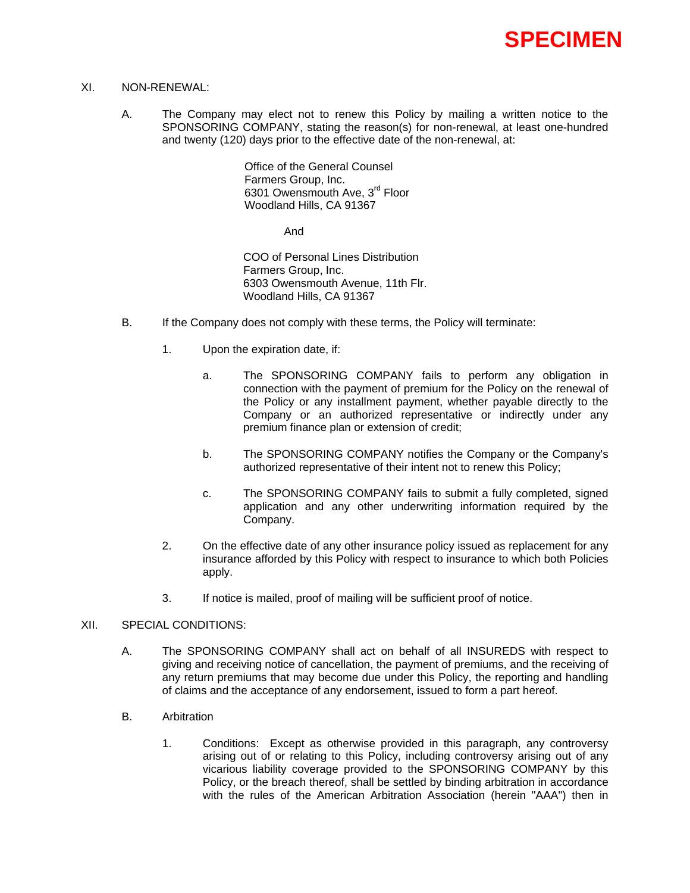

## XI. NON-RENEWAL:

A. The Company may elect not to renew this Policy by mailing a written notice to the SPONSORING COMPANY, stating the reason(s) for non-renewal, at least one-hundred and twenty (120) days prior to the effective date of the non-renewal, at:

> Office of the General Counsel Farmers Group, Inc. 6301 Owensmouth Ave, 3<sup>rd</sup> Floor Woodland Hills, CA 91367

> > And

COO of Personal Lines Distribution Farmers Group, Inc. 6303 Owensmouth Avenue, 11th Flr. Woodland Hills, CA 91367

- B. If the Company does not comply with these terms, the Policy will terminate:
	- 1. Upon the expiration date, if:
		- a. The SPONSORING COMPANY fails to perform any obligation in connection with the payment of premium for the Policy on the renewal of the Policy or any installment payment, whether payable directly to the Company or an authorized representative or indirectly under any premium finance plan or extension of credit;
		- b. The SPONSORING COMPANY notifies the Company or the Company's authorized representative of their intent not to renew this Policy;
		- c. The SPONSORING COMPANY fails to submit a fully completed, signed application and any other underwriting information required by the Company.
	- 2. On the effective date of any other insurance policy issued as replacement for any insurance afforded by this Policy with respect to insurance to which both Policies apply.
	- 3. If notice is mailed, proof of mailing will be sufficient proof of notice.

#### XII. SPECIAL CONDITIONS:

- A. The SPONSORING COMPANY shall act on behalf of all INSUREDS with respect to giving and receiving notice of cancellation, the payment of premiums, and the receiving of any return premiums that may become due under this Policy, the reporting and handling of claims and the acceptance of any endorsement, issued to form a part hereof.
- B. Arbitration
	- 1. Conditions: Except as otherwise provided in this paragraph, any controversy arising out of or relating to this Policy, including controversy arising out of any vicarious liability coverage provided to the SPONSORING COMPANY by this Policy, or the breach thereof, shall be settled by binding arbitration in accordance with the rules of the American Arbitration Association (herein "AAA") then in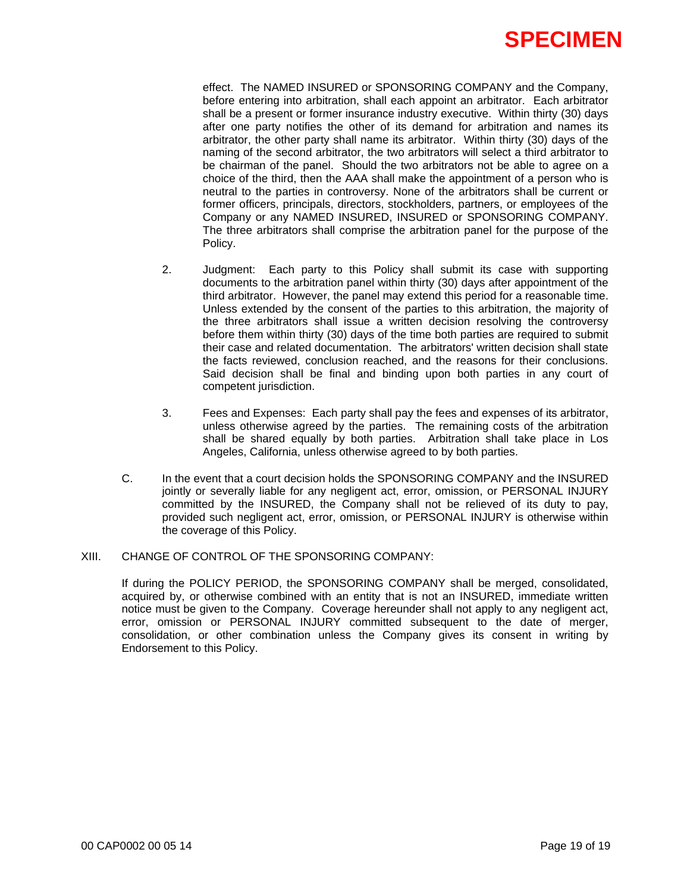

effect. The NAMED INSURED or SPONSORING COMPANY and the Company, before entering into arbitration, shall each appoint an arbitrator. Each arbitrator shall be a present or former insurance industry executive. Within thirty (30) days after one party notifies the other of its demand for arbitration and names its arbitrator, the other party shall name its arbitrator. Within thirty (30) days of the naming of the second arbitrator, the two arbitrators will select a third arbitrator to be chairman of the panel. Should the two arbitrators not be able to agree on a choice of the third, then the AAA shall make the appointment of a person who is neutral to the parties in controversy. None of the arbitrators shall be current or former officers, principals, directors, stockholders, partners, or employees of the Company or any NAMED INSURED, INSURED or SPONSORING COMPANY. The three arbitrators shall comprise the arbitration panel for the purpose of the Policy.

- 2. Judgment: Each party to this Policy shall submit its case with supporting documents to the arbitration panel within thirty (30) days after appointment of the third arbitrator. However, the panel may extend this period for a reasonable time. Unless extended by the consent of the parties to this arbitration, the majority of the three arbitrators shall issue a written decision resolving the controversy before them within thirty (30) days of the time both parties are required to submit their case and related documentation. The arbitrators' written decision shall state the facts reviewed, conclusion reached, and the reasons for their conclusions. Said decision shall be final and binding upon both parties in any court of competent jurisdiction.
- 3. Fees and Expenses: Each party shall pay the fees and expenses of its arbitrator, unless otherwise agreed by the parties. The remaining costs of the arbitration shall be shared equally by both parties. Arbitration shall take place in Los Angeles, California, unless otherwise agreed to by both parties.
- C. In the event that a court decision holds the SPONSORING COMPANY and the INSURED jointly or severally liable for any negligent act, error, omission, or PERSONAL INJURY committed by the INSURED, the Company shall not be relieved of its duty to pay, provided such negligent act, error, omission, or PERSONAL INJURY is otherwise within the coverage of this Policy.

#### XIII. CHANGE OF CONTROL OF THE SPONSORING COMPANY:

If during the POLICY PERIOD, the SPONSORING COMPANY shall be merged, consolidated, acquired by, or otherwise combined with an entity that is not an INSURED, immediate written notice must be given to the Company. Coverage hereunder shall not apply to any negligent act, error, omission or PERSONAL INJURY committed subsequent to the date of merger, consolidation, or other combination unless the Company gives its consent in writing by Endorsement to this Policy.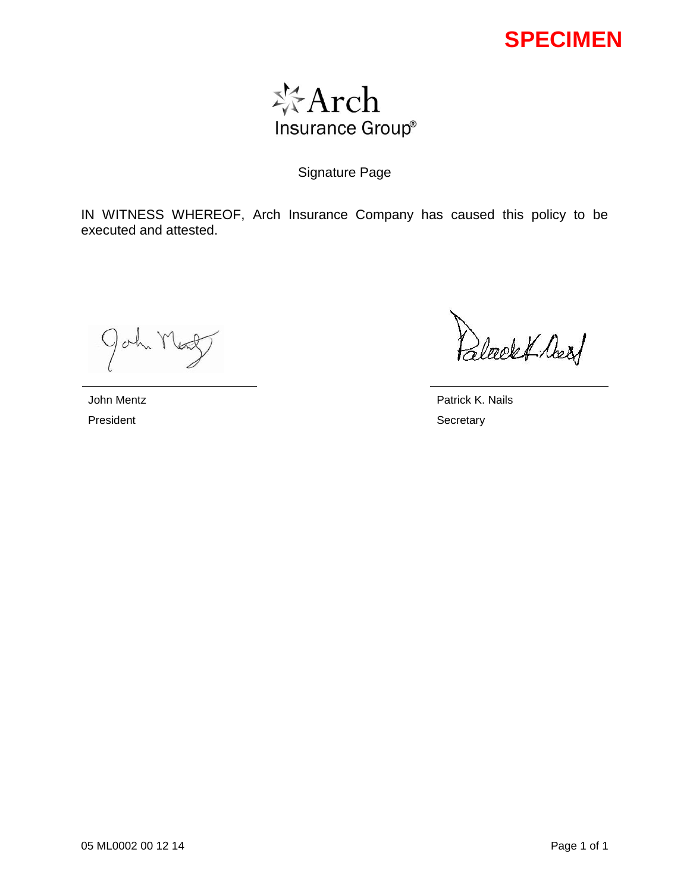

Signature Page

IN WITNESS WHEREOF, Arch Insurance Company has caused this policy to be executed and attested.

John Mex

Palecekt Assf

John Mentz **Patrick K. Nails** 

President Secretary Secretary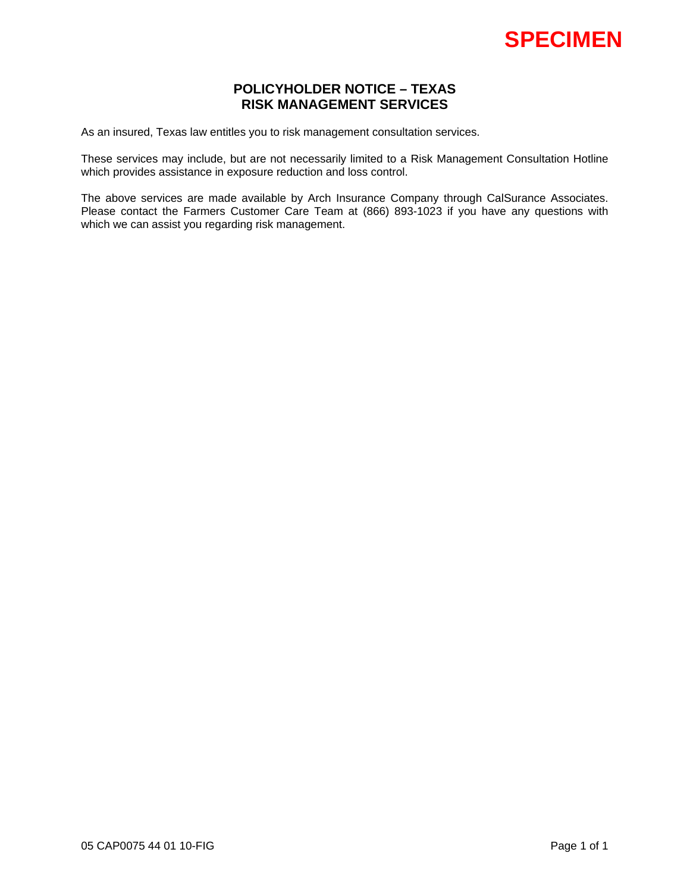# **POLICYHOLDER NOTICE – TEXAS RISK MANAGEMENT SERVICES**

As an insured, Texas law entitles you to risk management consultation services.

These services may include, but are not necessarily limited to a Risk Management Consultation Hotline which provides assistance in exposure reduction and loss control.

The above services are made available by Arch Insurance Company through CalSurance Associates. Please contact the Farmers Customer Care Team at (866) 893-1023 if you have any questions with which we can assist you regarding risk management.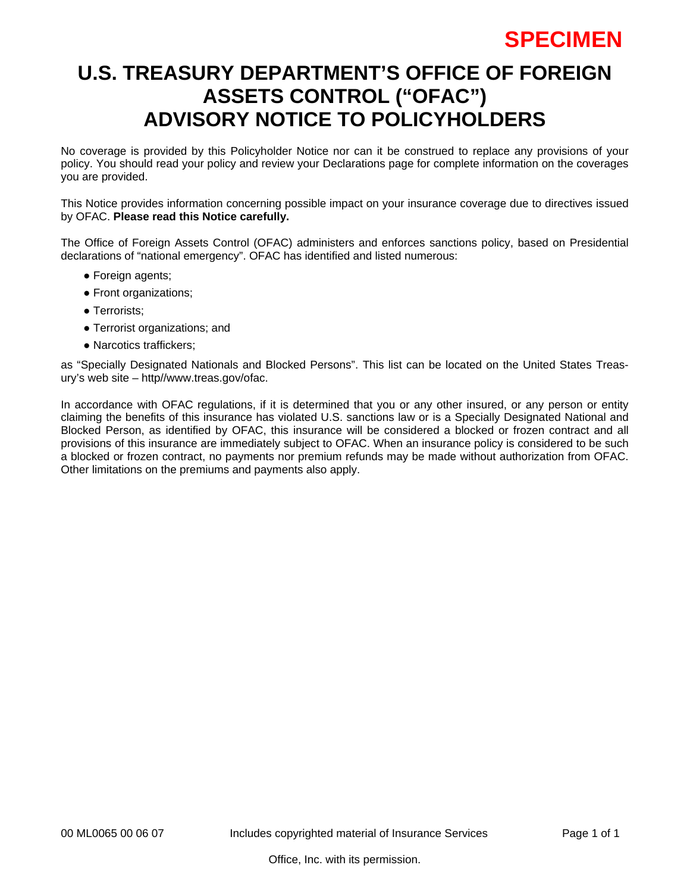# **U.S. TREASURY DEPARTMENT'S OFFICE OF FOREIGN ASSETS CONTROL ("OFAC") ADVISORY NOTICE TO POLICYHOLDERS**

No coverage is provided by this Policyholder Notice nor can it be construed to replace any provisions of your policy. You should read your policy and review your Declarations page for complete information on the coverages you are provided.

This Notice provides information concerning possible impact on your insurance coverage due to directives issued by OFAC. **Please read this Notice carefully.** 

The Office of Foreign Assets Control (OFAC) administers and enforces sanctions policy, based on Presidential declarations of "national emergency". OFAC has identified and listed numerous:

- Foreign agents;
- Front organizations;
- Terrorists;
- Terrorist organizations; and
- Narcotics traffickers:

as "Specially Designated Nationals and Blocked Persons". This list can be located on the United States Treasury's web site – http//www.treas.gov/ofac.

In accordance with OFAC regulations, if it is determined that you or any other insured, or any person or entity claiming the benefits of this insurance has violated U.S. sanctions law or is a Specially Designated National and Blocked Person, as identified by OFAC, this insurance will be considered a blocked or frozen contract and all provisions of this insurance are immediately subject to OFAC. When an insurance policy is considered to be such a blocked or frozen contract, no payments nor premium refunds may be made without authorization from OFAC. Other limitations on the premiums and payments also apply.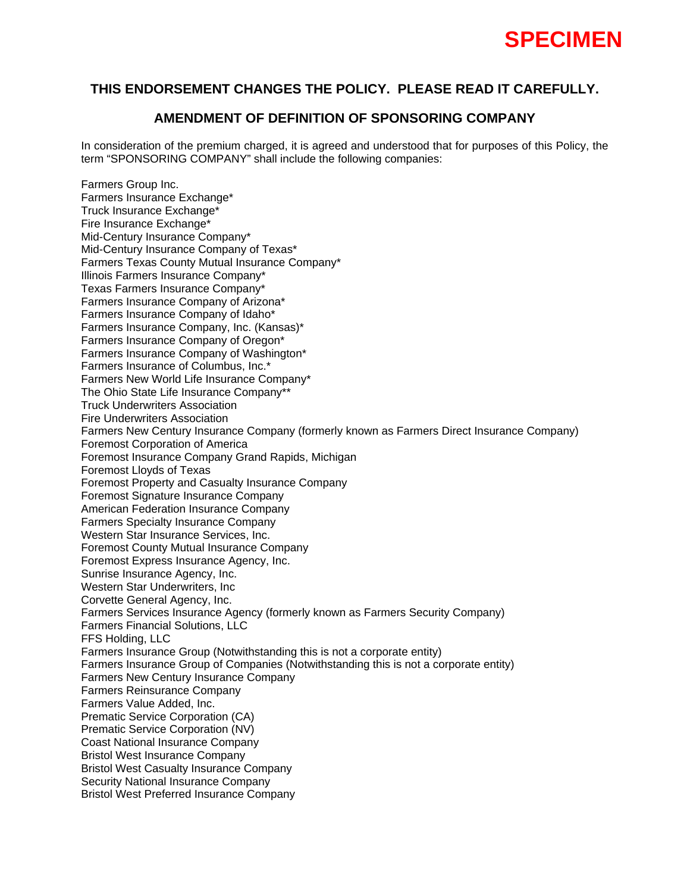

## **AMENDMENT OF DEFINITION OF SPONSORING COMPANY**

In consideration of the premium charged, it is agreed and understood that for purposes of this Policy, the term "SPONSORING COMPANY" shall include the following companies:

Farmers Group Inc. Farmers Insurance Exchange\* Truck Insurance Exchange\* Fire Insurance Exchange\* Mid-Century Insurance Company\* Mid-Century Insurance Company of Texas\* Farmers Texas County Mutual Insurance Company\* Illinois Farmers Insurance Company\* Texas Farmers Insurance Company\* Farmers Insurance Company of Arizona\* Farmers Insurance Company of Idaho\* Farmers Insurance Company, Inc. (Kansas)\* Farmers Insurance Company of Oregon\* Farmers Insurance Company of Washington\* Farmers Insurance of Columbus, Inc.\* Farmers New World Life Insurance Company\* The Ohio State Life Insurance Company\*\* Truck Underwriters Association Fire Underwriters Association Farmers New Century Insurance Company (formerly known as Farmers Direct Insurance Company) Foremost Corporation of America Foremost Insurance Company Grand Rapids, Michigan Foremost Lloyds of Texas Foremost Property and Casualty Insurance Company Foremost Signature Insurance Company American Federation Insurance Company Farmers Specialty Insurance Company Western Star Insurance Services, Inc. Foremost County Mutual Insurance Company Foremost Express Insurance Agency, Inc. Sunrise Insurance Agency, Inc. Western Star Underwriters, Inc Corvette General Agency, Inc. Farmers Services Insurance Agency (formerly known as Farmers Security Company) Farmers Financial Solutions, LLC FFS Holding, LLC Farmers Insurance Group (Notwithstanding this is not a corporate entity) Farmers Insurance Group of Companies (Notwithstanding this is not a corporate entity) Farmers New Century Insurance Company Farmers Reinsurance Company Farmers Value Added, Inc. Prematic Service Corporation (CA) Prematic Service Corporation (NV) Coast National Insurance Company Bristol West Insurance Company Bristol West Casualty Insurance Company Security National Insurance Company Bristol West Preferred Insurance Company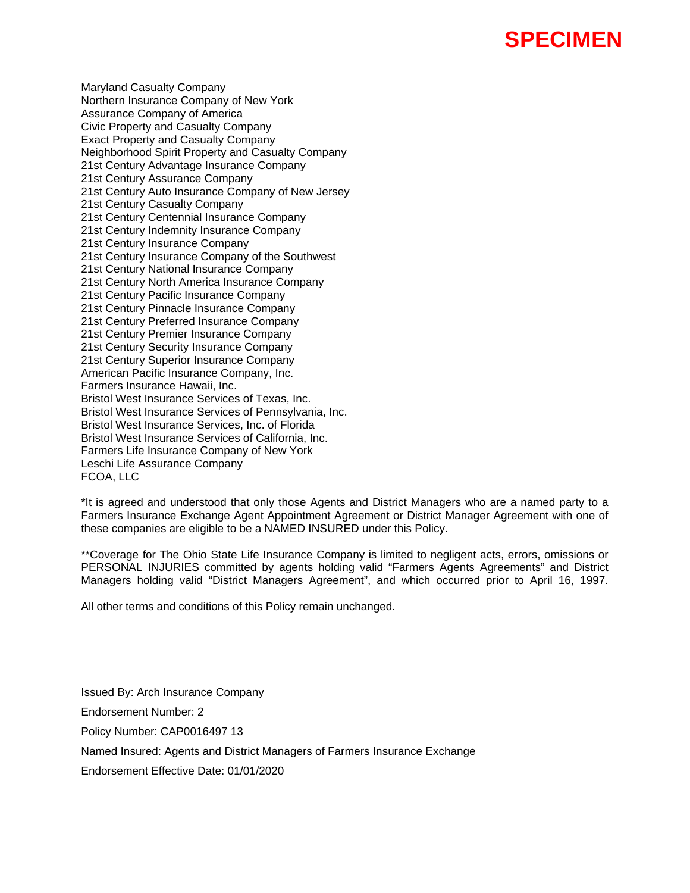Maryland Casualty Company Northern Insurance Company of New York Assurance Company of America Civic Property and Casualty Company Exact Property and Casualty Company Neighborhood Spirit Property and Casualty Company 21st Century Advantage Insurance Company 21st Century Assurance Company 21st Century Auto Insurance Company of New Jersey 21st Century Casualty Company 21st Century Centennial Insurance Company 21st Century Indemnity Insurance Company 21st Century Insurance Company 21st Century Insurance Company of the Southwest 21st Century National Insurance Company 21st Century North America Insurance Company 21st Century Pacific Insurance Company 21st Century Pinnacle Insurance Company 21st Century Preferred Insurance Company 21st Century Premier Insurance Company 21st Century Security Insurance Company 21st Century Superior Insurance Company American Pacific Insurance Company, Inc. Farmers Insurance Hawaii, Inc. Bristol West Insurance Services of Texas, Inc. Bristol West Insurance Services of Pennsylvania, Inc. Bristol West Insurance Services, Inc. of Florida Bristol West Insurance Services of California, Inc. Farmers Life Insurance Company of New York Leschi Life Assurance Company FCOA, LLC

\*It is agreed and understood that only those Agents and District Managers who are a named party to a Farmers Insurance Exchange Agent Appointment Agreement or District Manager Agreement with one of these companies are eligible to be a NAMED INSURED under this Policy.

\*\*Coverage for The Ohio State Life Insurance Company is limited to negligent acts, errors, omissions or PERSONAL INJURIES committed by agents holding valid "Farmers Agents Agreements" and District Managers holding valid "District Managers Agreement", and which occurred prior to April 16, 1997.

All other terms and conditions of this Policy remain unchanged.

Issued By: Arch Insurance Company Endorsement Number: 2 Policy Number: CAP0016497 13 Named Insured: Agents and District Managers of Farmers Insurance Exchange Endorsement Effective Date: 01/01/2020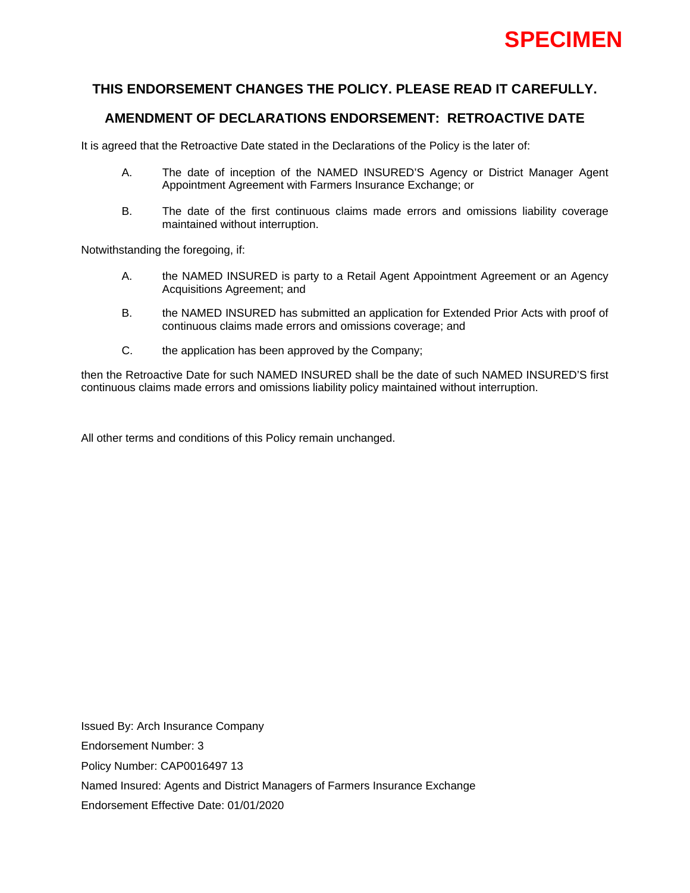

# **AMENDMENT OF DECLARATIONS ENDORSEMENT: RETROACTIVE DATE**

It is agreed that the Retroactive Date stated in the Declarations of the Policy is the later of:

- A. The date of inception of the NAMED INSURED'S Agency or District Manager Agent Appointment Agreement with Farmers Insurance Exchange; or
- B. The date of the first continuous claims made errors and omissions liability coverage maintained without interruption.

Notwithstanding the foregoing, if:

- A. the NAMED INSURED is party to a Retail Agent Appointment Agreement or an Agency Acquisitions Agreement; and
- B. the NAMED INSURED has submitted an application for Extended Prior Acts with proof of continuous claims made errors and omissions coverage; and
- C. the application has been approved by the Company;

then the Retroactive Date for such NAMED INSURED shall be the date of such NAMED INSURED'S first continuous claims made errors and omissions liability policy maintained without interruption.

All other terms and conditions of this Policy remain unchanged.

Issued By: Arch Insurance Company Endorsement Number: 3 Policy Number: CAP0016497 13 Named Insured: Agents and District Managers of Farmers Insurance Exchange Endorsement Effective Date: 01/01/2020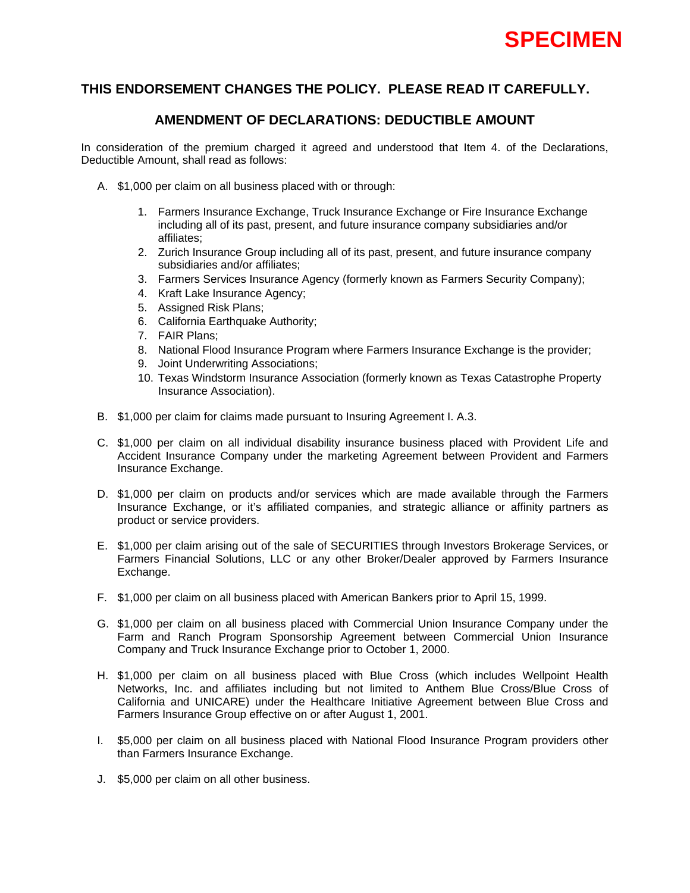

## **AMENDMENT OF DECLARATIONS: DEDUCTIBLE AMOUNT**

In consideration of the premium charged it agreed and understood that Item 4. of the Declarations, Deductible Amount, shall read as follows:

- A. \$1,000 per claim on all business placed with or through:
	- 1. Farmers Insurance Exchange, Truck Insurance Exchange or Fire Insurance Exchange including all of its past, present, and future insurance company subsidiaries and/or affiliates;
	- 2. Zurich Insurance Group including all of its past, present, and future insurance company subsidiaries and/or affiliates;
	- 3. Farmers Services Insurance Agency (formerly known as Farmers Security Company);
	- 4. Kraft Lake Insurance Agency;
	- 5. Assigned Risk Plans;
	- 6. California Earthquake Authority;
	- 7. FAIR Plans;
	- 8. National Flood Insurance Program where Farmers Insurance Exchange is the provider;
	- 9. Joint Underwriting Associations;
	- 10. Texas Windstorm Insurance Association (formerly known as Texas Catastrophe Property Insurance Association).
- B. \$1,000 per claim for claims made pursuant to Insuring Agreement I. A.3.
- C. \$1,000 per claim on all individual disability insurance business placed with Provident Life and Accident Insurance Company under the marketing Agreement between Provident and Farmers Insurance Exchange.
- D. \$1,000 per claim on products and/or services which are made available through the Farmers Insurance Exchange, or it's affiliated companies, and strategic alliance or affinity partners as product or service providers.
- E. \$1,000 per claim arising out of the sale of SECURITIES through Investors Brokerage Services, or Farmers Financial Solutions, LLC or any other Broker/Dealer approved by Farmers Insurance Exchange.
- F. \$1,000 per claim on all business placed with American Bankers prior to April 15, 1999.
- G. \$1,000 per claim on all business placed with Commercial Union Insurance Company under the Farm and Ranch Program Sponsorship Agreement between Commercial Union Insurance Company and Truck Insurance Exchange prior to October 1, 2000.
- H. \$1,000 per claim on all business placed with Blue Cross (which includes Wellpoint Health Networks, Inc. and affiliates including but not limited to Anthem Blue Cross/Blue Cross of California and UNICARE) under the Healthcare Initiative Agreement between Blue Cross and Farmers Insurance Group effective on or after August 1, 2001.
- I. \$5,000 per claim on all business placed with National Flood Insurance Program providers other than Farmers Insurance Exchange.
- J. \$5,000 per claim on all other business.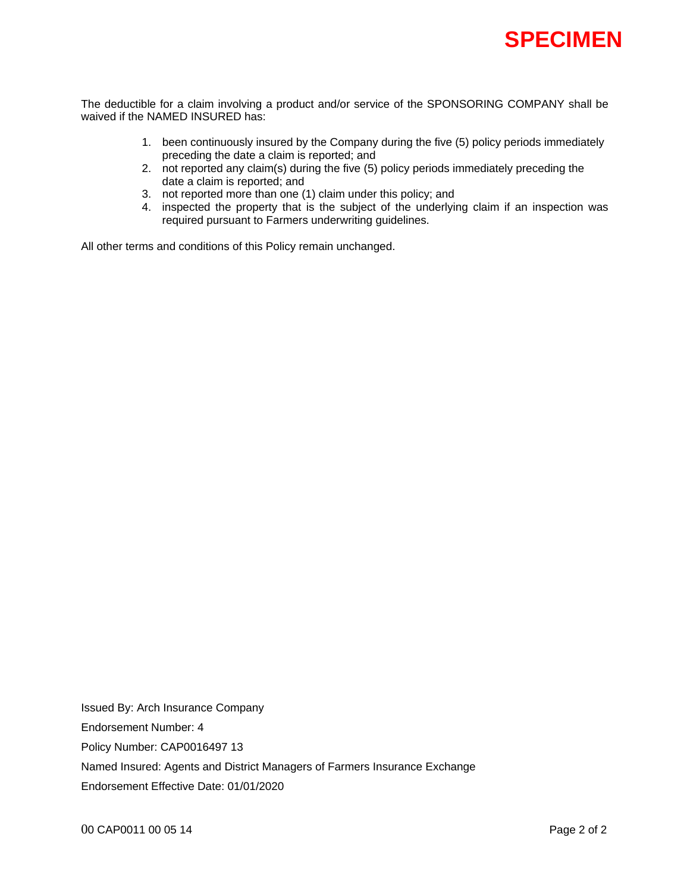

The deductible for a claim involving a product and/or service of the SPONSORING COMPANY shall be waived if the NAMED INSURED has:

- 1. been continuously insured by the Company during the five (5) policy periods immediately preceding the date a claim is reported; and
- 2. not reported any claim(s) during the five (5) policy periods immediately preceding the date a claim is reported; and
- 3. not reported more than one (1) claim under this policy; and
- 4. inspected the property that is the subject of the underlying claim if an inspection was required pursuant to Farmers underwriting guidelines.

All other terms and conditions of this Policy remain unchanged.

Issued By: Arch Insurance Company Endorsement Number: 4 Policy Number: CAP0016497 13 Named Insured: Agents and District Managers of Farmers Insurance Exchange Endorsement Effective Date: 01/01/2020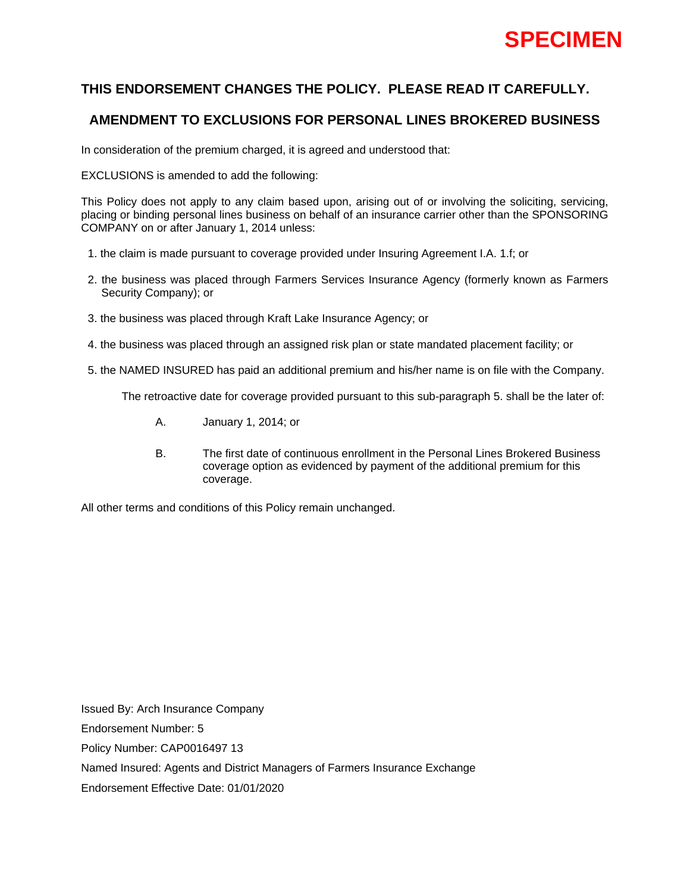# **THIS ENDORSEMENT CHANGES THE POLICY. PLEASE READ IT CAREFULLY.**

# **AMENDMENT TO EXCLUSIONS FOR PERSONAL LINES BROKERED BUSINESS**

In consideration of the premium charged, it is agreed and understood that:

EXCLUSIONS is amended to add the following:

This Policy does not apply to any claim based upon, arising out of or involving the soliciting, servicing, placing or binding personal lines business on behalf of an insurance carrier other than the SPONSORING COMPANY on or after January 1, 2014 unless:

- 1. the claim is made pursuant to coverage provided under Insuring Agreement I.A. 1.f; or
- 2. the business was placed through Farmers Services Insurance Agency (formerly known as Farmers Security Company); or
- 3. the business was placed through Kraft Lake Insurance Agency; or
- 4. the business was placed through an assigned risk plan or state mandated placement facility; or
- 5. the NAMED INSURED has paid an additional premium and his/her name is on file with the Company.

The retroactive date for coverage provided pursuant to this sub-paragraph 5. shall be the later of:

- A. January 1, 2014; or
- B. The first date of continuous enrollment in the Personal Lines Brokered Business coverage option as evidenced by payment of the additional premium for this coverage.

All other terms and conditions of this Policy remain unchanged.

Issued By: Arch Insurance Company Endorsement Number: 5 Policy Number: CAP0016497 13 Named Insured: Agents and District Managers of Farmers Insurance Exchange Endorsement Effective Date: 01/01/2020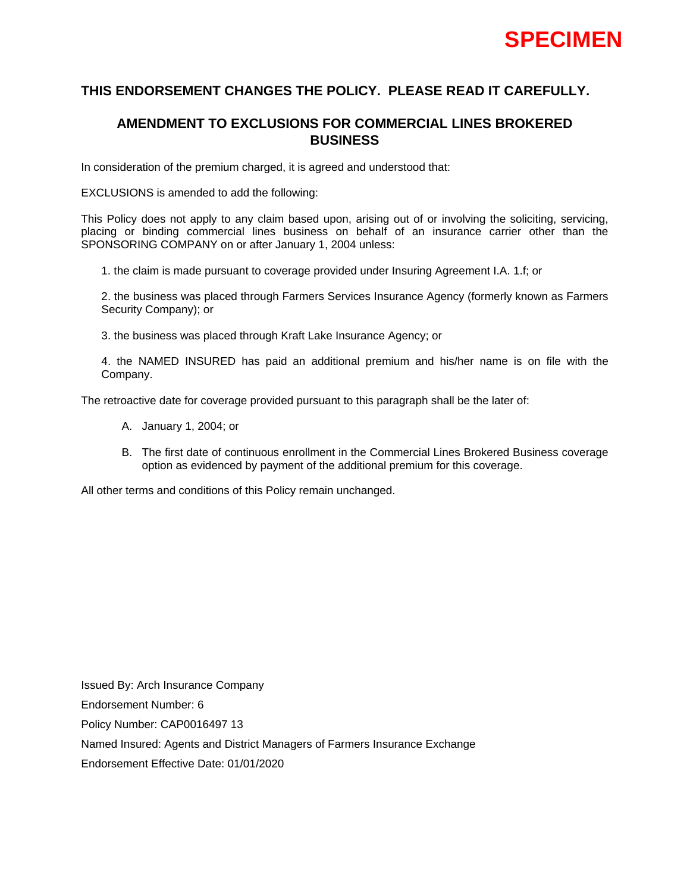# **THIS ENDORSEMENT CHANGES THE POLICY. PLEASE READ IT CAREFULLY.**

# **AMENDMENT TO EXCLUSIONS FOR COMMERCIAL LINES BROKERED BUSINESS**

In consideration of the premium charged, it is agreed and understood that:

EXCLUSIONS is amended to add the following:

This Policy does not apply to any claim based upon, arising out of or involving the soliciting, servicing, placing or binding commercial lines business on behalf of an insurance carrier other than the SPONSORING COMPANY on or after January 1, 2004 unless:

1. the claim is made pursuant to coverage provided under Insuring Agreement I.A. 1.f; or

2. the business was placed through Farmers Services Insurance Agency (formerly known as Farmers Security Company); or

3. the business was placed through Kraft Lake Insurance Agency; or

4. the NAMED INSURED has paid an additional premium and his/her name is on file with the Company.

The retroactive date for coverage provided pursuant to this paragraph shall be the later of:

- A. January 1, 2004; or
- B. The first date of continuous enrollment in the Commercial Lines Brokered Business coverage option as evidenced by payment of the additional premium for this coverage.

All other terms and conditions of this Policy remain unchanged.

Issued By: Arch Insurance Company Endorsement Number: 6 Policy Number: CAP0016497 13 Named Insured: Agents and District Managers of Farmers Insurance Exchange Endorsement Effective Date: 01/01/2020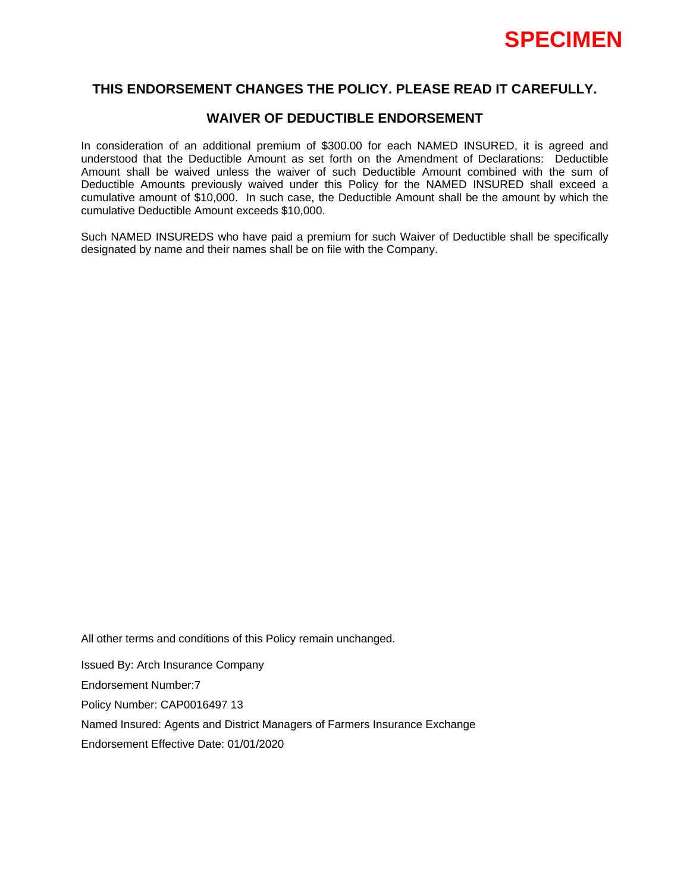

## **WAIVER OF DEDUCTIBLE ENDORSEMENT**

In consideration of an additional premium of \$300.00 for each NAMED INSURED, it is agreed and understood that the Deductible Amount as set forth on the Amendment of Declarations: Deductible Amount shall be waived unless the waiver of such Deductible Amount combined with the sum of Deductible Amounts previously waived under this Policy for the NAMED INSURED shall exceed a cumulative amount of \$10,000. In such case, the Deductible Amount shall be the amount by which the cumulative Deductible Amount exceeds \$10,000.

Such NAMED INSUREDS who have paid a premium for such Waiver of Deductible shall be specifically designated by name and their names shall be on file with the Company.

All other terms and conditions of this Policy remain unchanged.

Issued By: Arch Insurance Company Endorsement Number:7 Policy Number: CAP0016497 13 Named Insured: Agents and District Managers of Farmers Insurance Exchange Endorsement Effective Date: 01/01/2020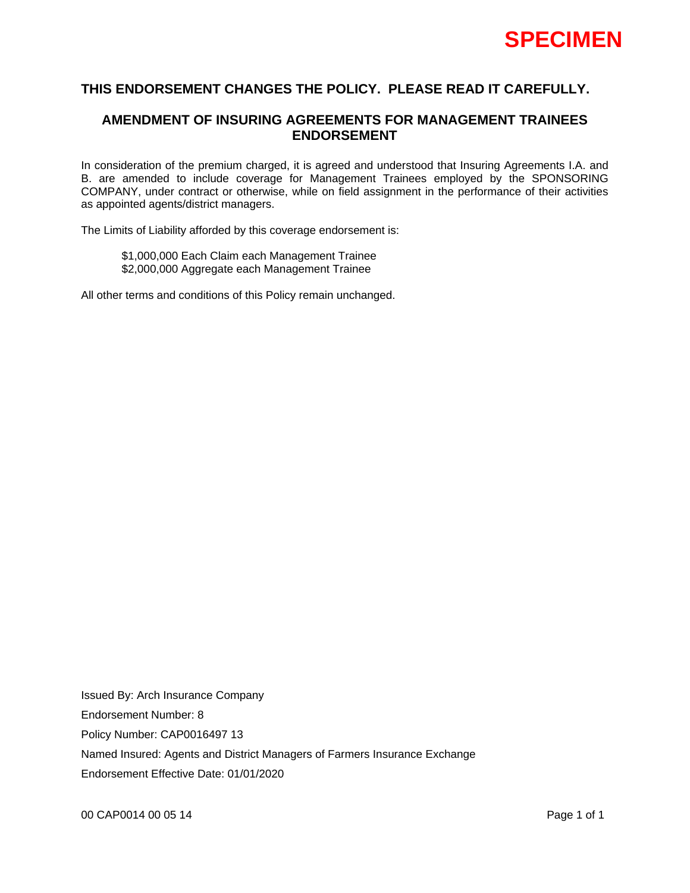

## **AMENDMENT OF INSURING AGREEMENTS FOR MANAGEMENT TRAINEES ENDORSEMENT**

In consideration of the premium charged, it is agreed and understood that Insuring Agreements I.A. and B. are amended to include coverage for Management Trainees employed by the SPONSORING COMPANY, under contract or otherwise, while on field assignment in the performance of their activities as appointed agents/district managers.

The Limits of Liability afforded by this coverage endorsement is:

\$1,000,000 Each Claim each Management Trainee \$2,000,000 Aggregate each Management Trainee

All other terms and conditions of this Policy remain unchanged.

Issued By: Arch Insurance Company Endorsement Number: 8 Policy Number: CAP0016497 13 Named Insured: Agents and District Managers of Farmers Insurance Exchange Endorsement Effective Date: 01/01/2020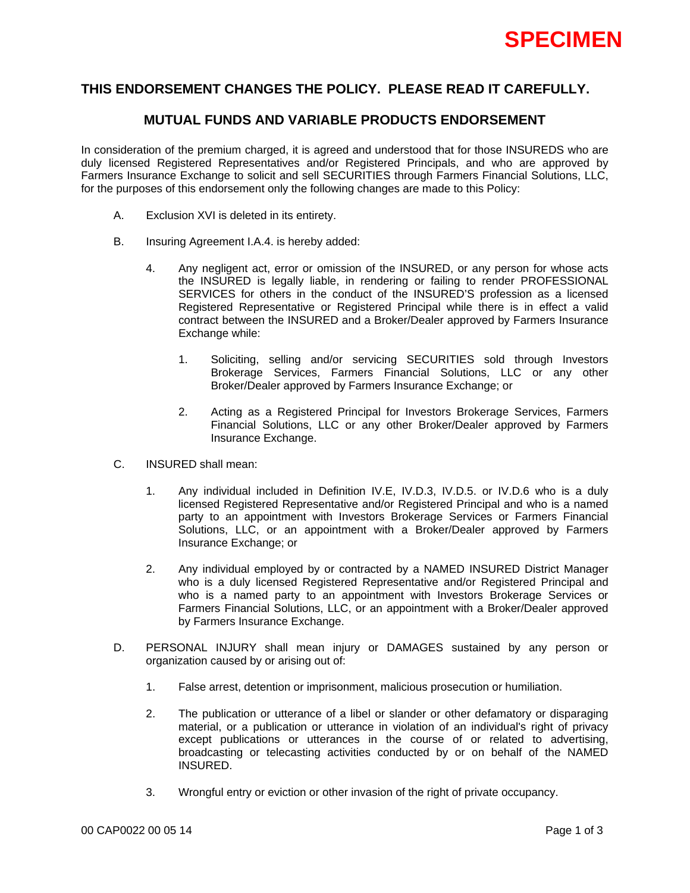

## **MUTUAL FUNDS AND VARIABLE PRODUCTS ENDORSEMENT**

In consideration of the premium charged, it is agreed and understood that for those INSUREDS who are duly licensed Registered Representatives and/or Registered Principals, and who are approved by Farmers Insurance Exchange to solicit and sell SECURITIES through Farmers Financial Solutions, LLC, for the purposes of this endorsement only the following changes are made to this Policy:

- A. Exclusion XVI is deleted in its entirety.
- B. Insuring Agreement I.A.4. is hereby added:
	- 4. Any negligent act, error or omission of the INSURED, or any person for whose acts the INSURED is legally liable, in rendering or failing to render PROFESSIONAL SERVICES for others in the conduct of the INSURED'S profession as a licensed Registered Representative or Registered Principal while there is in effect a valid contract between the INSURED and a Broker/Dealer approved by Farmers Insurance Exchange while:
		- 1. Soliciting, selling and/or servicing SECURITIES sold through Investors Brokerage Services, Farmers Financial Solutions, LLC or any other Broker/Dealer approved by Farmers Insurance Exchange; or
		- 2. Acting as a Registered Principal for Investors Brokerage Services, Farmers Financial Solutions, LLC or any other Broker/Dealer approved by Farmers Insurance Exchange.
- C. INSURED shall mean:
	- 1. Any individual included in Definition IV.E, IV.D.3, IV.D.5. or IV.D.6 who is a duly licensed Registered Representative and/or Registered Principal and who is a named party to an appointment with Investors Brokerage Services or Farmers Financial Solutions, LLC, or an appointment with a Broker/Dealer approved by Farmers Insurance Exchange; or
	- 2. Any individual employed by or contracted by a NAMED INSURED District Manager who is a duly licensed Registered Representative and/or Registered Principal and who is a named party to an appointment with Investors Brokerage Services or Farmers Financial Solutions, LLC, or an appointment with a Broker/Dealer approved by Farmers Insurance Exchange.
- D. PERSONAL INJURY shall mean injury or DAMAGES sustained by any person or organization caused by or arising out of:
	- 1. False arrest, detention or imprisonment, malicious prosecution or humiliation.
	- 2. The publication or utterance of a libel or slander or other defamatory or disparaging material, or a publication or utterance in violation of an individual's right of privacy except publications or utterances in the course of or related to advertising, broadcasting or telecasting activities conducted by or on behalf of the NAMED INSURED.
	- 3. Wrongful entry or eviction or other invasion of the right of private occupancy.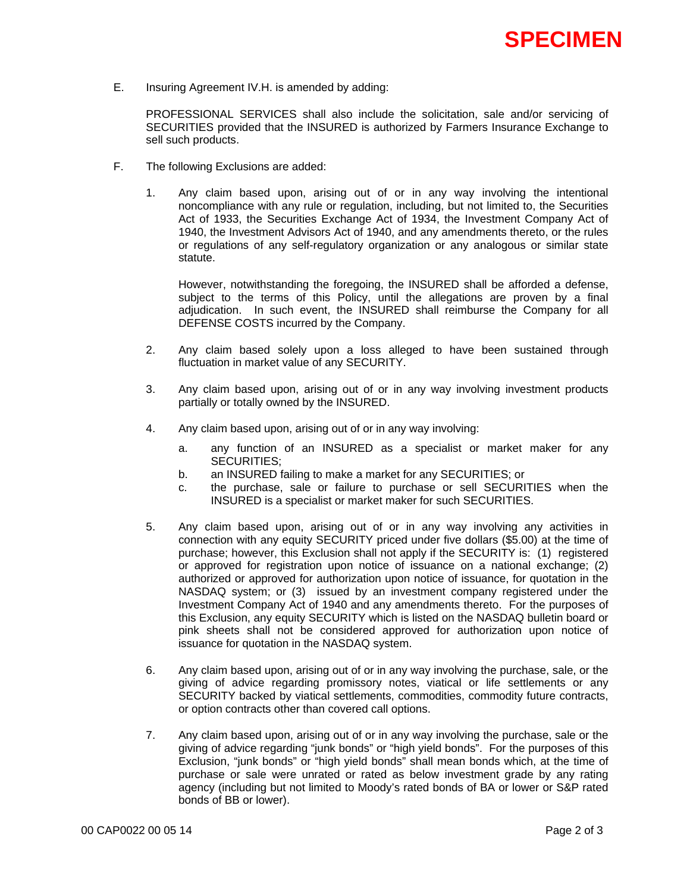

E. Insuring Agreement IV.H. is amended by adding:

 PROFESSIONAL SERVICES shall also include the solicitation, sale and/or servicing of SECURITIES provided that the INSURED is authorized by Farmers Insurance Exchange to sell such products.

- F. The following Exclusions are added:
	- 1. Any claim based upon, arising out of or in any way involving the intentional noncompliance with any rule or regulation, including, but not limited to, the Securities Act of 1933, the Securities Exchange Act of 1934, the Investment Company Act of 1940, the Investment Advisors Act of 1940, and any amendments thereto, or the rules or regulations of any self-regulatory organization or any analogous or similar state statute.

 However, notwithstanding the foregoing, the INSURED shall be afforded a defense, subject to the terms of this Policy, until the allegations are proven by a final adjudication. In such event, the INSURED shall reimburse the Company for all DEFENSE COSTS incurred by the Company.

- 2. Any claim based solely upon a loss alleged to have been sustained through fluctuation in market value of any SECURITY.
- 3. Any claim based upon, arising out of or in any way involving investment products partially or totally owned by the INSURED.
- 4. Any claim based upon, arising out of or in any way involving:
	- a. any function of an INSURED as a specialist or market maker for any SECURITIES;
	- b. an INSURED failing to make a market for any SECURITIES; or
	- c. the purchase, sale or failure to purchase or sell SECURITIES when the INSURED is a specialist or market maker for such SECURITIES.
- 5. Any claim based upon, arising out of or in any way involving any activities in connection with any equity SECURITY priced under five dollars (\$5.00) at the time of purchase; however, this Exclusion shall not apply if the SECURITY is: (1) registered or approved for registration upon notice of issuance on a national exchange; (2) authorized or approved for authorization upon notice of issuance, for quotation in the NASDAQ system; or (3) issued by an investment company registered under the Investment Company Act of 1940 and any amendments thereto. For the purposes of this Exclusion, any equity SECURITY which is listed on the NASDAQ bulletin board or pink sheets shall not be considered approved for authorization upon notice of issuance for quotation in the NASDAQ system.
- 6. Any claim based upon, arising out of or in any way involving the purchase, sale, or the giving of advice regarding promissory notes, viatical or life settlements or any SECURITY backed by viatical settlements, commodities, commodity future contracts, or option contracts other than covered call options.
- 7. Any claim based upon, arising out of or in any way involving the purchase, sale or the giving of advice regarding "junk bonds" or "high yield bonds". For the purposes of this Exclusion, "junk bonds" or "high yield bonds" shall mean bonds which, at the time of purchase or sale were unrated or rated as below investment grade by any rating agency (including but not limited to Moody's rated bonds of BA or lower or S&P rated bonds of BB or lower).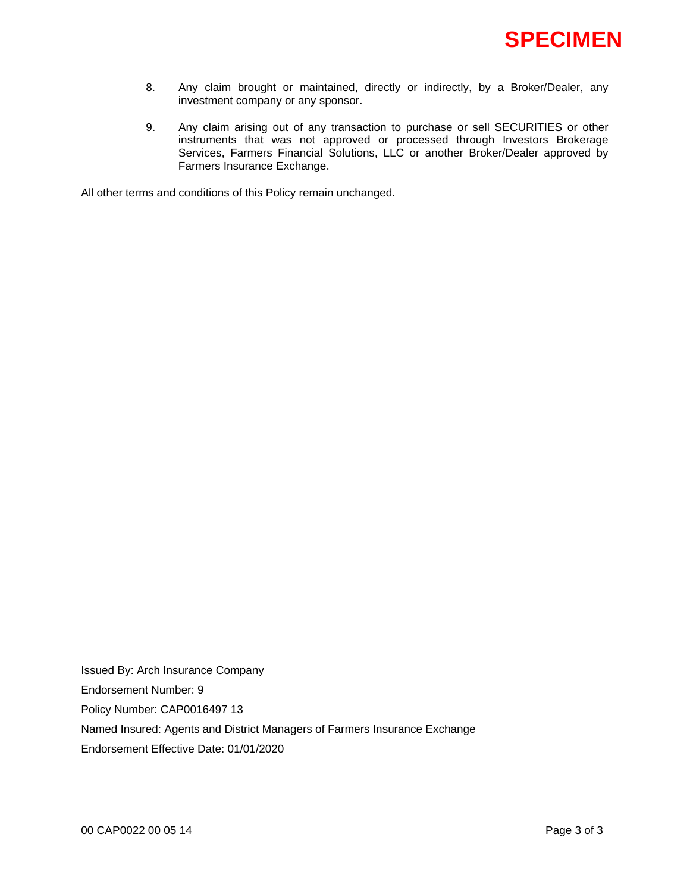

- 8. Any claim brought or maintained, directly or indirectly, by a Broker/Dealer, any investment company or any sponsor.
- 9. Any claim arising out of any transaction to purchase or sell SECURITIES or other instruments that was not approved or processed through Investors Brokerage Services, Farmers Financial Solutions, LLC or another Broker/Dealer approved by Farmers Insurance Exchange.

All other terms and conditions of this Policy remain unchanged.

Issued By: Arch Insurance Company Endorsement Number: 9 Policy Number: CAP0016497 13 Named Insured: Agents and District Managers of Farmers Insurance Exchange Endorsement Effective Date: 01/01/2020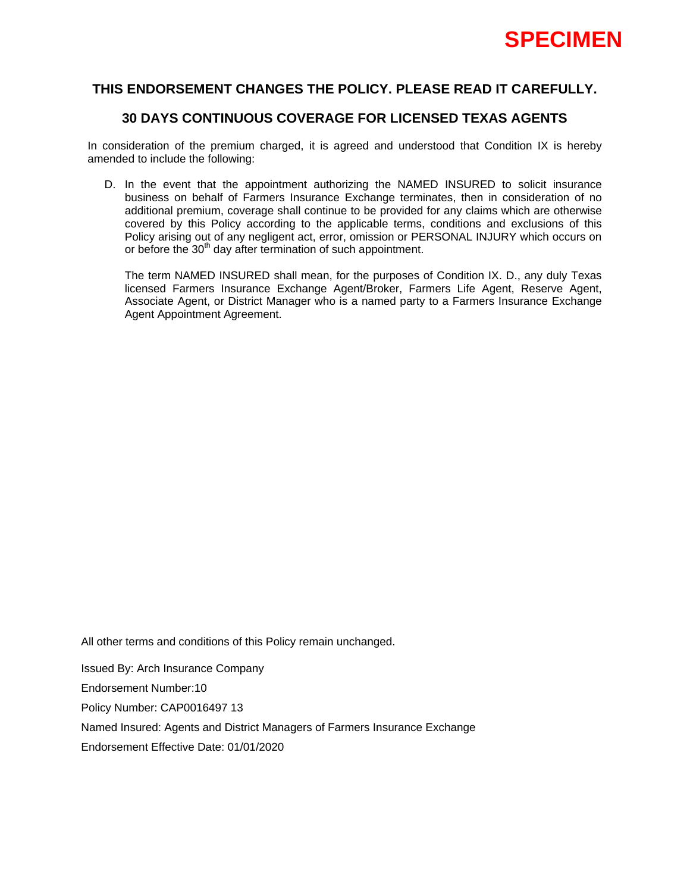

# **30 DAYS CONTINUOUS COVERAGE FOR LICENSED TEXAS AGENTS**

In consideration of the premium charged, it is agreed and understood that Condition IX is hereby amended to include the following:

D. In the event that the appointment authorizing the NAMED INSURED to solicit insurance business on behalf of Farmers Insurance Exchange terminates, then in consideration of no additional premium, coverage shall continue to be provided for any claims which are otherwise covered by this Policy according to the applicable terms, conditions and exclusions of this Policy arising out of any negligent act, error, omission or PERSONAL INJURY which occurs on or before the 30<sup>th</sup> day after termination of such appointment.

The term NAMED INSURED shall mean, for the purposes of Condition IX. D., any duly Texas licensed Farmers Insurance Exchange Agent/Broker, Farmers Life Agent, Reserve Agent, Associate Agent, or District Manager who is a named party to a Farmers Insurance Exchange Agent Appointment Agreement.

All other terms and conditions of this Policy remain unchanged.

Issued By: Arch Insurance Company Endorsement Number:10 Policy Number: CAP0016497 13 Named Insured: Agents and District Managers of Farmers Insurance Exchange Endorsement Effective Date: 01/01/2020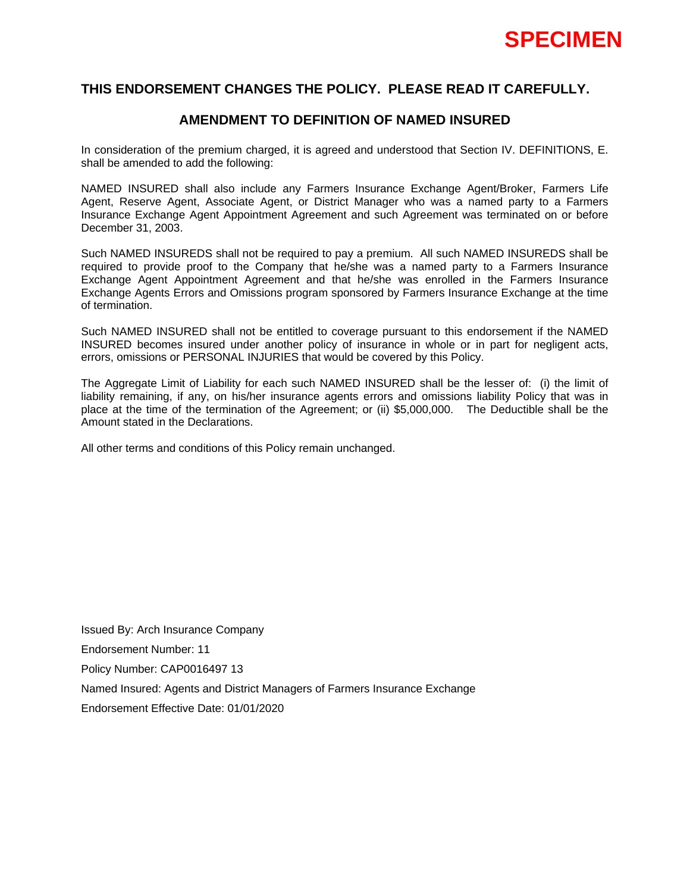

## **AMENDMENT TO DEFINITION OF NAMED INSURED**

In consideration of the premium charged, it is agreed and understood that Section IV. DEFINITIONS, E. shall be amended to add the following:

NAMED INSURED shall also include any Farmers Insurance Exchange Agent/Broker, Farmers Life Agent, Reserve Agent, Associate Agent, or District Manager who was a named party to a Farmers Insurance Exchange Agent Appointment Agreement and such Agreement was terminated on or before December 31, 2003.

Such NAMED INSUREDS shall not be required to pay a premium. All such NAMED INSUREDS shall be required to provide proof to the Company that he/she was a named party to a Farmers Insurance Exchange Agent Appointment Agreement and that he/she was enrolled in the Farmers Insurance Exchange Agents Errors and Omissions program sponsored by Farmers Insurance Exchange at the time of termination.

Such NAMED INSURED shall not be entitled to coverage pursuant to this endorsement if the NAMED INSURED becomes insured under another policy of insurance in whole or in part for negligent acts, errors, omissions or PERSONAL INJURIES that would be covered by this Policy.

The Aggregate Limit of Liability for each such NAMED INSURED shall be the lesser of: (i) the limit of liability remaining, if any, on his/her insurance agents errors and omissions liability Policy that was in place at the time of the termination of the Agreement; or (ii) \$5,000,000. The Deductible shall be the Amount stated in the Declarations.

All other terms and conditions of this Policy remain unchanged.

Issued By: Arch Insurance Company Endorsement Number: 11 Policy Number: CAP0016497 13 Named Insured: Agents and District Managers of Farmers Insurance Exchange Endorsement Effective Date: 01/01/2020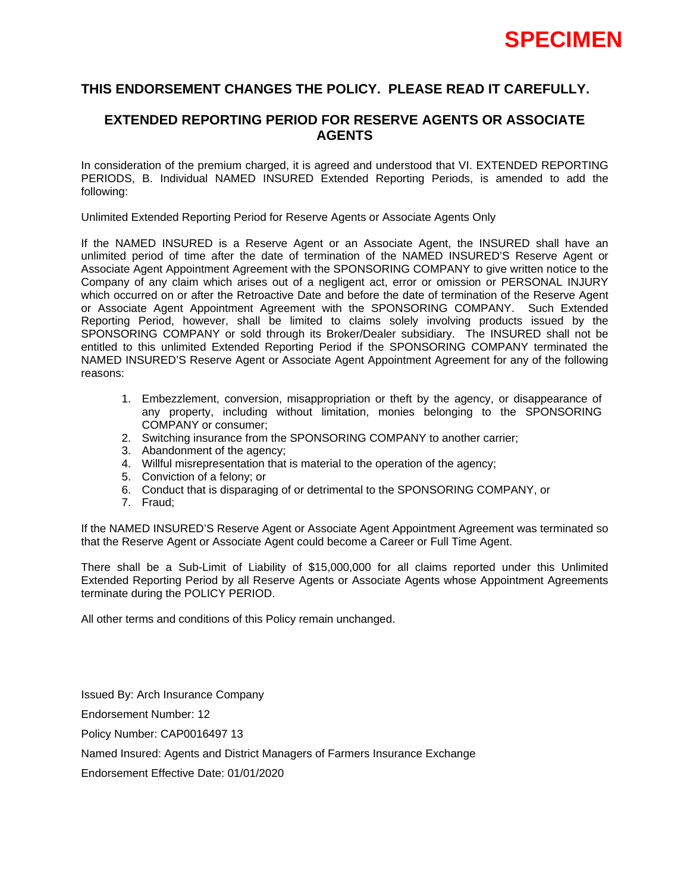

## **EXTENDED REPORTING PERIOD FOR RESERVE AGENTS OR ASSOCIATE AGENTS**

In consideration of the premium charged, it is agreed and understood that VI. EXTENDED REPORTING PERIODS, B. Individual NAMED INSURED Extended Reporting Periods, is amended to add the following:

Unlimited Extended Reporting Period for Reserve Agents or Associate Agents Only

If the NAMED INSURED is a Reserve Agent or an Associate Agent, the INSURED shall have an unlimited period of time after the date of termination of the NAMED INSURED'S Reserve Agent or Associate Agent Appointment Agreement with the SPONSORING COMPANY to give written notice to the Company of any claim which arises out of a negligent act, error or omission or PERSONAL INJURY which occurred on or after the Retroactive Date and before the date of termination of the Reserve Agent or Associate Agent Appointment Agreement with the SPONSORING COMPANY. Such Extended Reporting Period, however, shall be limited to claims solely involving products issued by the SPONSORING COMPANY or sold through its Broker/Dealer subsidiary. The INSURED shall not be entitled to this unlimited Extended Reporting Period if the SPONSORING COMPANY terminated the NAMED INSURED'S Reserve Agent or Associate Agent Appointment Agreement for any of the following reasons:

- 1. Embezzlement, conversion, misappropriation or theft by the agency, or disappearance of any property, including without limitation, monies belonging to the SPONSORING COMPANY or consumer;
- 2. Switching in surance from the SPONSORING COMPANY to another carrier;
- 3. Abandonment of the agency;
- 4. Willful misrepresentation that is material to the operation of the agency;
- 5. Conviction of a felony; or
- 6. Conduct that is disparaging of or detrimental to the SPONSORING COMPANY, or
- 7. Fraud;

If the NAMED INSURED'S Reserve Agent or Associate Agent Appointment Agreement was terminated so that the Reserve Agent or Associate Agent could become a Career or Full Time Agent.

There shall be a Sub-Limit of Liability of \$15,000,000 for all claims reported under this Unlimited Extended Reporting Period by all Reserve Agents or Associate Agents whose Appointment Agreements terminate during the POLICY PERIOD.

All other terms and conditions of this Policy remain unchanged.

Issued By: Arch Insurance Company

Endorsement Number: 12

Policy Number: CAP0016497 13

Named Insured: Agents and District Managers of Farmers Insurance Exchange

Endorsement Effective Date: 01/01/2020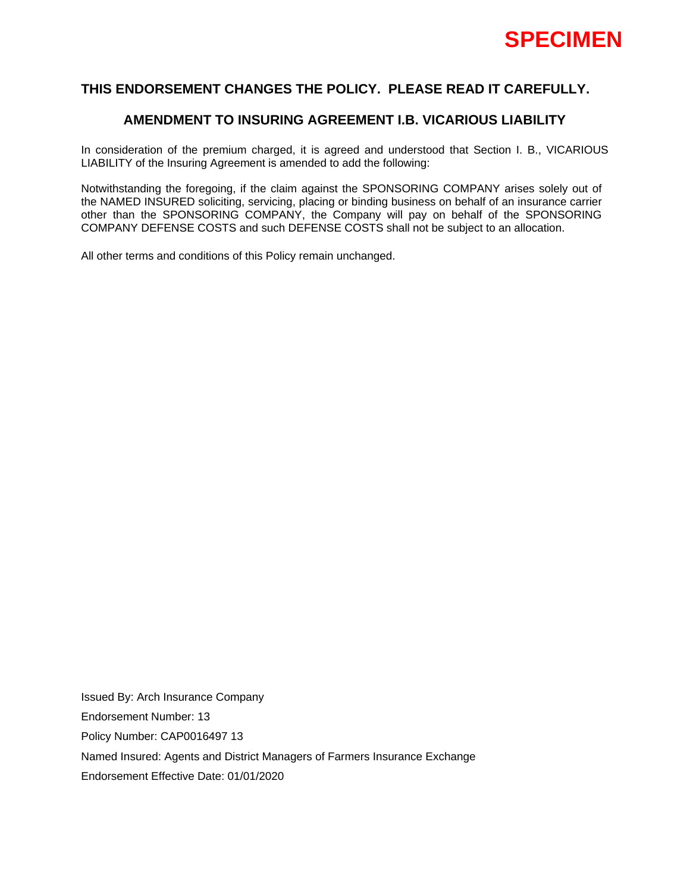

## **AMENDMENT TO INSURING AGREEMENT I.B. VICARIOUS LIABILITY**

In consideration of the premium charged, it is agreed and understood that Section I. B., VICARIOUS LIABILITY of the Insuring Agreement is amended to add the following:

Notwithstanding the foregoing, if the claim against the SPONSORING COMPANY arises solely out of the NAMED INSURED soliciting, servicing, placing or binding business on behalf of an insurance carrier other than the SPONSORING COMPANY, the Company will pay on behalf of the SPONSORING COMPANY DEFENSE COSTS and such DEFENSE COSTS shall not be subject to an allocation.

All other terms and conditions of this Policy remain unchanged.

Issued By: Arch Insurance Company Endorsement Number: 13 Policy Number: CAP0016497 13 Named Insured: Agents and District Managers of Farmers Insurance Exchange Endorsement Effective Date: 01/01/2020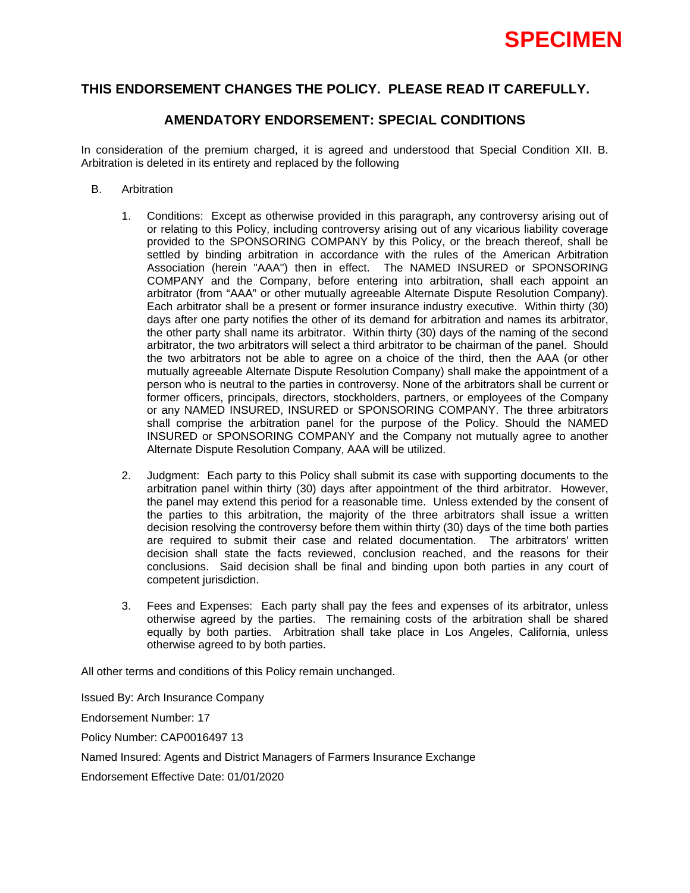# **THIS ENDORSEMENT CHANGES THE POLICY. PLEASE READ IT CAREFULLY.**

# **AMENDATORY ENDORSEMENT: SPECIAL CONDITIONS**

In consideration of the premium charged, it is agreed and understood that Special Condition XII. B. Arbitration is deleted in its entirety and replaced by the following

- B. Arbitration
	- 1. Conditions: Except as otherwise provided in this paragraph, any controversy arising out of or relating to this Policy, including controversy arising out of any vicarious liability coverage provided to the SPONSORING COMPANY by this Policy, or the breach thereof, shall be settled by binding arbitration in accordance with the rules of the American Arbitration Association (herein "AAA") then in effect. The NAMED INSURED or SPONSORING COMPANY and the Company, before entering into arbitration, shall each appoint an arbitrator (from "AAA" or other mutually agreeable Alternate Dispute Resolution Company). Each arbitrator shall be a present or former insurance industry executive. Within thirty (30) days after one party notifies the other of its demand for arbitration and names its arbitrator, the other party shall name its arbitrator. Within thirty (30) days of the naming of the second arbitrator, the two arbitrators will select a third arbitrator to be chairman of the panel. Should the two arbitrators not be able to agree on a choice of the third, then the AAA (or other mutually agreeable Alternate Dispute Resolution Company) shall make the appointment of a person who is neutral to the parties in controversy. None of the arbitrators shall be current or former officers, principals, directors, stockholders, partners, or employees of the Company or any NAMED INSURED, INSURED or SPONSORING COMPANY. The three arbitrators shall comprise the arbitration panel for the purpose of the Policy. Should the NAMED INSURED or SPONSORING COMPANY and the Company not mutually agree to another Alternate Dispute Resolution Company, AAA will be utilized.
	- 2. Judgment: Each party to this Policy shall submit its case with supporting documents to the arbitration panel within thirty (30) days after appointment of the third arbitrator. However, the panel may extend this period for a reasonable time. Unless extended by the consent of the parties to this arbitration, the majority of the three arbitrators shall issue a written decision resolving the controversy before them within thirty (30) days of the time both parties are required to submit their case and related documentation. The arbitrators' written decision shall state the facts reviewed, conclusion reached, and the reasons for their conclusions. Said decision shall be final and binding upon both parties in any court of competent jurisdiction.
	- 3. Fees and Expenses: Each party shall pay the fees and expenses of its arbitrator, unless otherwise agreed by the parties. The remaining costs of the arbitration shall be shared equally by both parties. Arbitration shall take place in Los Angeles, California, unless otherwise agreed to by both parties.

All other terms and conditions of this Policy remain unchanged.

Issued By: Arch Insurance Company Endorsement Number: 17 Policy Number: CAP0016497 13 Named Insured: Agents and District Managers of Farmers Insurance Exchange Endorsement Effective Date: 01/01/2020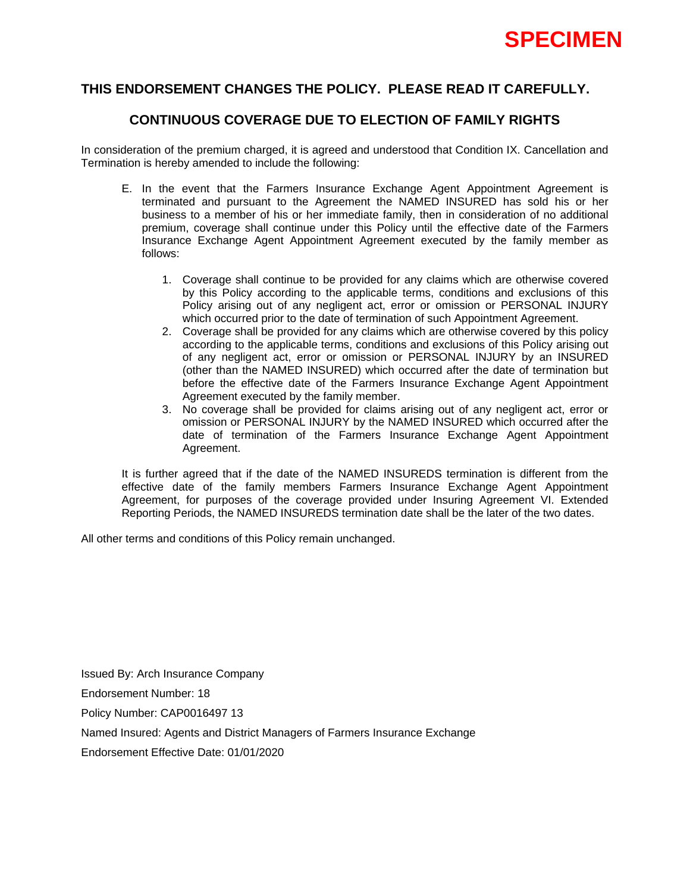# **THIS ENDORSEMENT CHANGES THE POLICY. PLEASE READ IT CAREFULLY.**

# **CONTINUOUS COVERAGE DUE TO ELECTION OF FAMILY RIGHTS**

In consideration of the premium charged, it is agreed and understood that Condition IX. Cancellation and Termination is hereby amended to include the following:

- E. In the event that the Farmers Insurance Exchange Agent Appointment Agreement is terminated and pursuant to the Agreement the NAMED INSURED has sold his or her business to a member of his or her immediate family, then in consideration of no additional premium, coverage shall continue under this Policy until the effective date of the Farmers Insurance Exchange Agent Appointment Agreement executed by the family member as follows:
	- 1. Coverage shall continue to be provided for any claims which are otherwise covered by this Policy according to the applicable terms, conditions and exclusions of this Policy arising out of any negligent act, error or omission or PERSONAL INJURY which occurred prior to the date of termination of such Appointment Agreement.
	- 2. Coverage shall be provided for any claims which are otherwise covered by this policy according to the applicable terms, conditions and exclusions of this Policy arising out of any negligent act, error or omission or PERSONAL INJURY by an INSURED (other than the NAMED INSURED) which occurred after the date of termination but before the effective date of the Farmers Insurance Exchange Agent Appointment Agreement executed by the family member.
	- 3. No coverage shall be provided for claims arising out of any negligent act, error or omission or PERSONAL INJURY by the NAMED INSURED which occurred after the date of termination of the Farmers Insurance Exchange Agent Appointment Agreement.

It is further agreed that if the date of the NAMED INSUREDS termination is different from the effective date of the family members Farmers Insurance Exchange Agent Appointment Agreement, for purposes of the coverage provided under Insuring Agreement VI. Extended Reporting Periods, the NAMED INSUREDS termination date shall be the later of the two dates.

All other terms and conditions of this Policy remain unchanged.

Issued By: Arch Insurance Company

Endorsement Number: 18

Policy Number: CAP0016497 13

Named Insured: Agents and District Managers of Farmers Insurance Exchange

Endorsement Effective Date: 01/01/2020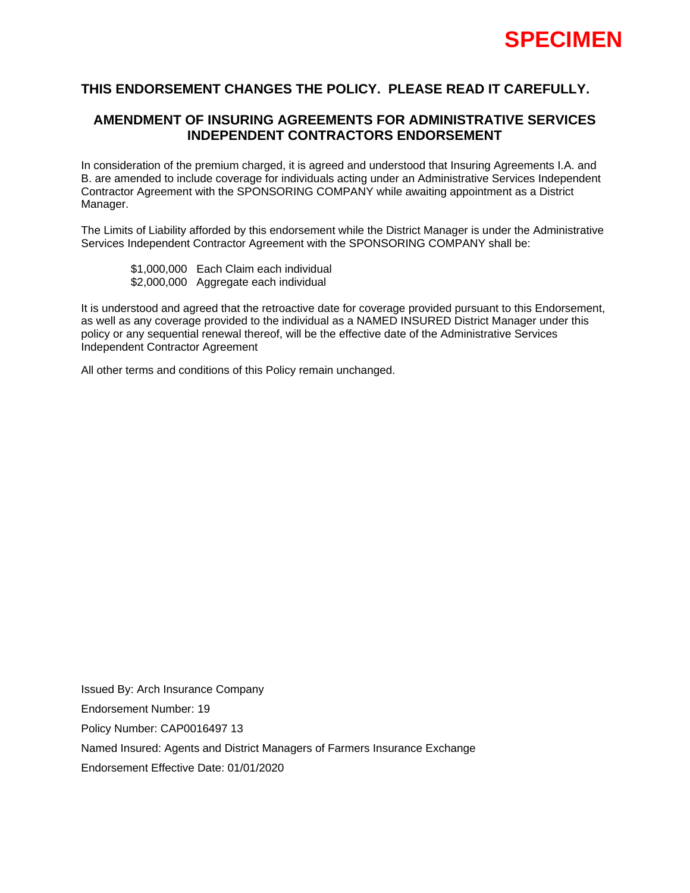

# **AMENDMENT OF INSURING AGREEMENTS FOR ADMINISTRATIVE SERVICES INDEPENDENT CONTRACTORS ENDORSEMENT**

In consideration of the premium charged, it is agreed and understood that Insuring Agreements I.A. and B. are amended to include coverage for individuals acting under an Administrative Services Independent Contractor Agreement with the SPONSORING COMPANY while awaiting appointment as a District Manager.

The Limits of Liability afforded by this endorsement while the District Manager is under the Administrative Services Independent Contractor Agreement with the SPONSORING COMPANY shall be:

 \$1,000,000 Each Claim each individual \$2,000,000 Aggregate each individual

It is understood and agreed that the retroactive date for coverage provided pursuant to this Endorsement, as well as any coverage provided to the individual as a NAMED INSURED District Manager under this policy or any sequential renewal thereof, will be the effective date of the Administrative Services Independent Contractor Agreement

All other terms and conditions of this Policy remain unchanged.

Issued By: Arch Insurance Company Endorsement Number: 19 Policy Number: CAP0016497 13 Named Insured: Agents and District Managers of Farmers Insurance Exchange Endorsement Effective Date: 01/01/2020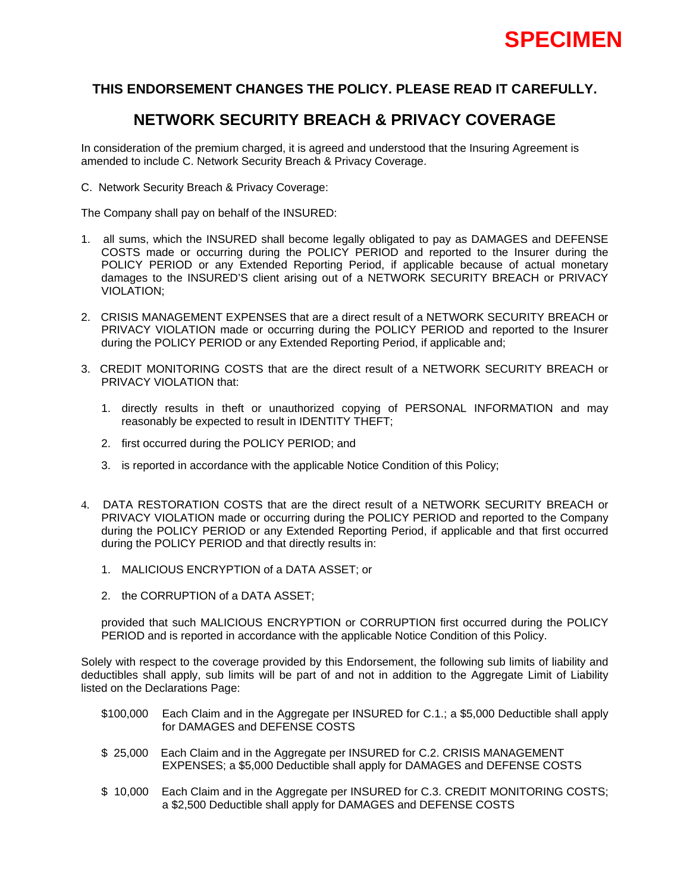

# **NETWORK SECURITY BREACH & PRIVACY COVERAGE**

In consideration of the premium charged, it is agreed and understood that the Insuring Agreement is amended to include C. Network Security Breach & Privacy Coverage.

C. Network Security Breach & Privacy Coverage:

The Company shall pay on behalf of the INSURED:

- 1. all sums, which the INSURED shall become legally obligated to pay as DAMAGES and DEFENSE COSTS made or occurring during the POLICY PERIOD and reported to the Insurer during the POLICY PERIOD or any Extended Reporting Period, if applicable because of actual monetary damages to the INSURED'S client arising out of a NETWORK SECURITY BREACH or PRIVACY VIOLATION;
- 2. CRISIS MANAGEMENT EXPENSES that are a direct result of a NETWORK SECURITY BREACH or PRIVACY VIOLATION made or occurring during the POLICY PERIOD and reported to the Insurer during the POLICY PERIOD or any Extended Reporting Period, if applicable and;
- 3. CREDIT MONITORING COSTS that are the direct result of a NETWORK SECURITY BREACH or PRIVACY VIOLATION that:
	- 1. directly results in theft or unauthorized copying of PERSONAL INFORMATION and may reasonably be expected to result in IDENTITY THEFT;
	- 2. first occurred during the POLICY PERIOD; and
	- 3. is reported in accordance with the applicable Notice Condition of this Policy;
- 4. DATA RESTORATION COSTS that are the direct result of a NETWORK SECURITY BREACH or PRIVACY VIOLATION made or occurring during the POLICY PERIOD and reported to the Company during the POLICY PERIOD or any Extended Reporting Period, if applicable and that first occurred during the POLICY PERIOD and that directly results in:
	- 1. MALICIOUS ENCRYPTION of a DATA ASSET; or
	- 2. the CORRUPTION of a DATA ASSET;

 provided that such MALICIOUS ENCRYPTION or CORRUPTION first occurred during the POLICY PERIOD and is reported in accordance with the applicable Notice Condition of this Policy.

Solely with respect to the coverage provided by this Endorsement, the following sub limits of liability and deductibles shall apply, sub limits will be part of and not in addition to the Aggregate Limit of Liability listed on the Declarations Page:

- \$100,000 Each Claim and in the Aggregate per INSURED for C.1.; a \$5,000 Deductible shall apply for DAMAGES and DEFENSE COSTS
- \$ 25,000 Each Claim and in the Aggregate per INSURED for C.2. CRISIS MANAGEMENT EXPENSES; a \$5,000 Deductible shall apply for DAMAGES and DEFENSE COSTS
- \$ 10,000 Each Claim and in the Aggregate per INSURED for C.3. CREDIT MONITORING COSTS; a \$2,500 Deductible shall apply for DAMAGES and DEFENSE COSTS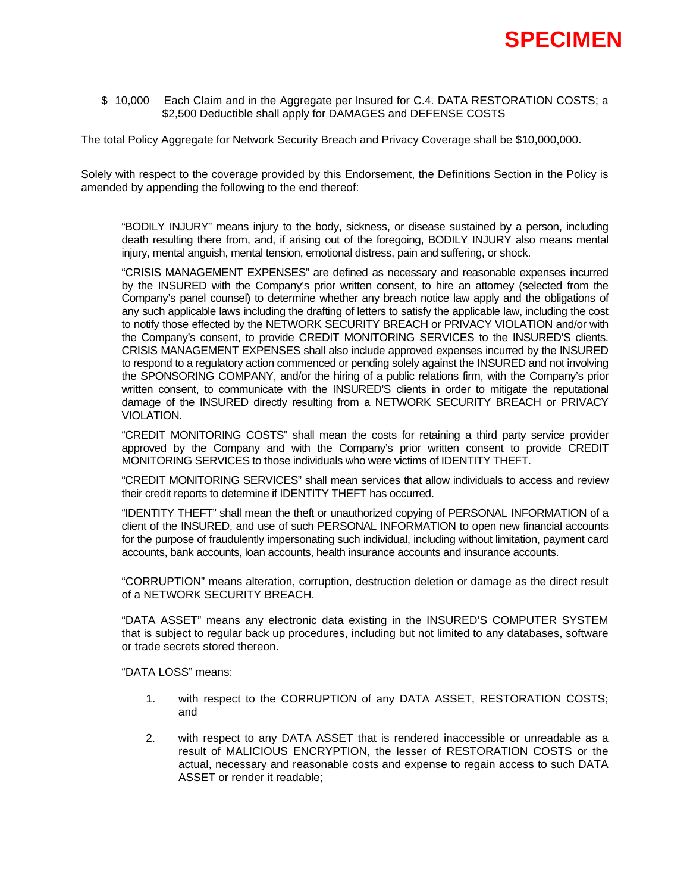

\$ 10,000 Each Claim and in the Aggregate per Insured for C.4. DATA RESTORATION COSTS; a \$2,500 Deductible shall apply for DAMAGES and DEFENSE COSTS

The total Policy Aggregate for Network Security Breach and Privacy Coverage shall be \$10,000,000.

Solely with respect to the coverage provided by this Endorsement, the Definitions Section in the Policy is amended by appending the following to the end thereof:

"BODILY INJURY" means injury to the body, sickness, or disease sustained by a person, including death resulting there from, and, if arising out of the foregoing, BODILY INJURY also means mental injury, mental anguish, mental tension, emotional distress, pain and suffering, or shock.

"CRISIS MANAGEMENT EXPENSES" are defined as necessary and reasonable expenses incurred by the INSURED with the Company's prior written consent, to hire an attorney (selected from the Company's panel counsel) to determine whether any breach notice law apply and the obligations of any such applicable laws including the drafting of letters to satisfy the applicable law, including the cost to notify those effected by the NETWORK SECURITY BREACH or PRIVACY VIOLATION and/or with the Company's consent, to provide CREDIT MONITORING SERVICES to the INSURED'S clients. CRISIS MANAGEMENT EXPENSES shall also include approved expenses incurred by the INSURED to respond to a regulatory action commenced or pending solely against the INSURED and not involving the SPONSORING COMPANY, and/or the hiring of a public relations firm, with the Company's prior written consent, to communicate with the INSURED'S clients in order to mitigate the reputational damage of the INSURED directly resulting from a NETWORK SECURITY BREACH or PRIVACY VIOLATION.

"CREDIT MONITORING COSTS" shall mean the costs for retaining a third party service provider approved by the Company and with the Company's prior written consent to provide CREDIT MONITORING SERVICES to those individuals who were victims of IDENTITY THEFT.

"CREDIT MONITORING SERVICES" shall mean services that allow individuals to access and review their credit reports to determine if IDENTITY THEFT has occurred.

"IDENTITY THEFT" shall mean the theft or unauthorized copying of PERSONAL INFORMATION of a client of the INSURED, and use of such PERSONAL INFORMATION to open new financial accounts for the purpose of fraudulently impersonating such individual, including without limitation, payment card accounts, bank accounts, loan accounts, health insurance accounts and insurance accounts.

"CORRUPTION" means alteration, corruption, destruction deletion or damage as the direct result of a NETWORK SECURITY BREACH.

"DATA ASSET" means any electronic data existing in the INSURED'S COMPUTER SYSTEM that is subject to regular back up procedures, including but not limited to any databases, software or trade secrets stored thereon.

"DATA LOSS" means:

- 1. with respect to the CORRUPTION of any DATA ASSET, RESTORATION COSTS; and
- 2. with respect to any DATA ASSET that is rendered inaccessible or unreadable as a result of MALICIOUS ENCRYPTION, the lesser of RESTORATION COSTS or the actual, necessary and reasonable costs and expense to regain access to such DATA ASSET or render it readable;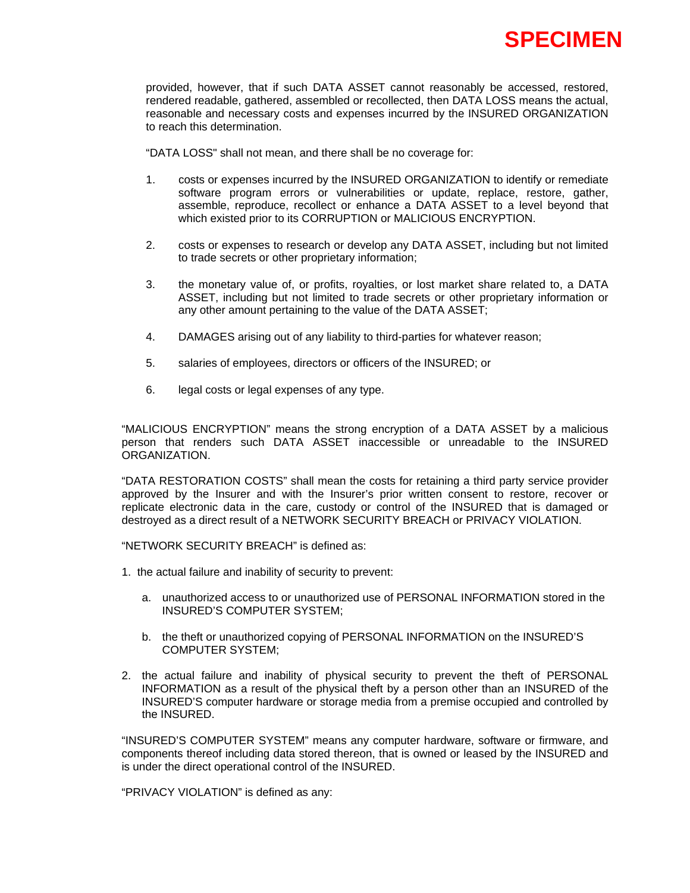

 provided, however, that if such DATA ASSET cannot reasonably be accessed, restored, rendered readable, gathered, assembled or recollected, then DATA LOSS means the actual, reasonable and necessary costs and expenses incurred by the INSURED ORGANIZATION to reach this determination.

"DATA LOSS" shall not mean, and there shall be no coverage for:

- 1. costs or expenses incurred by the INSURED ORGANIZATION to identify or remediate software program errors or vulnerabilities or update, replace, restore, gather, assemble, reproduce, recollect or enhance a DATA ASSET to a level beyond that which existed prior to its CORRUPTION or MALICIOUS ENCRYPTION.
- 2. costs or expenses to research or develop any DATA ASSET, including but not limited to trade secrets or other proprietary information;
- 3. the monetary value of, or profits, royalties, or lost market share related to, a DATA ASSET, including but not limited to trade secrets or other proprietary information or any other amount pertaining to the value of the DATA ASSET;
- 4. DAMAGES arising out of any liability to third-parties for whatever reason;
- 5. salaries of employees, directors or officers of the INSURED; or
- 6. legal costs or legal expenses of any type.

"MALICIOUS ENCRYPTION" means the strong encryption of a DATA ASSET by a malicious person that renders such DATA ASSET inaccessible or unreadable to the INSURED ORGANIZATION.

"DATA RESTORATION COSTS" shall mean the costs for retaining a third party service provider approved by the Insurer and with the Insurer's prior written consent to restore, recover or replicate electronic data in the care, custody or control of the INSURED that is damaged or destroyed as a direct result of a NETWORK SECURITY BREACH or PRIVACY VIOLATION.

"NETWORK SECURITY BREACH" is defined as:

- 1. the actual failure and inability of security to prevent:
	- a. unauthorized access to or unauthorized use of PERSONAL INFORMATION stored in the INSURED'S COMPUTER SYSTEM;
	- b. the theft or unauthorized copying of PERSONAL INFORMATION on the INSURED'S COMPUTER SYSTEM;
- 2. the actual failure and inability of physical security to prevent the theft of PERSONAL INFORMATION as a result of the physical theft by a person other than an INSURED of the INSURED'S computer hardware or storage media from a premise occupied and controlled by the INSURED.

"INSURED'S COMPUTER SYSTEM" means any computer hardware, software or firmware, and components thereof including data stored thereon, that is owned or leased by the INSURED and is under the direct operational control of the INSURED.

"PRIVACY VIOLATION" is defined as any: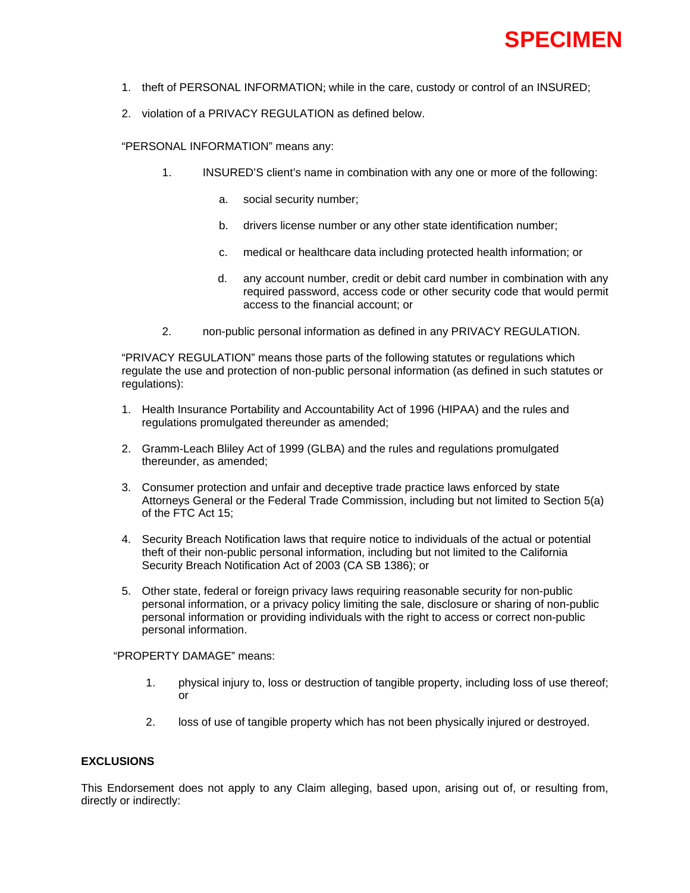

- 1. theft of PERSONAL INFORMATION; while in the care, custody or control of an INSURED;
- 2. violation of a PRIVACY REGULATION as defined below.

"PERSONAL INFORMATION" means any:

- 1. INSURED'S client's name in combination with any one or more of the following:
	- a. social security number;
	- b. drivers license number or any other state identification number;
	- c. medical or healthcare data including protected health information; or
	- d. any account number, credit or debit card number in combination with any required password, access code or other security code that would permit access to the financial account; or
- 2. non-public personal information as defined in any PRIVACY REGULATION.

"PRIVACY REGULATION" means those parts of the following statutes or regulations which regulate the use and protection of non-public personal information (as defined in such statutes or regulations):

- 1. Health Insurance Portability and Accountability Act of 1996 (HIPAA) and the rules and regulations promulgated thereunder as amended;
- 2. Gramm-Leach Bliley Act of 1999 (GLBA) and the rules and regulations promulgated thereunder, as amended;
- 3. Consumer protection and unfair and deceptive trade practice laws enforced by state Attorneys General or the Federal Trade Commission, including but not limited to Section 5(a) of the FTC Act 15;
- 4. Security Breach Notification laws that require notice to individuals of the actual or potential theft of their non-public personal information, including but not limited to the California Security Breach Notification Act of 2003 (CA SB 1386); or
- 5. Other state, federal or foreign privacy laws requiring reasonable security for non-public personal information, or a privacy policy limiting the sale, disclosure or sharing of non-public personal information or providing individuals with the right to access or correct non-public personal information.

### "PROPERTY DAMAGE" means:

- 1. physical injury to, loss or destruction of tangible property, including loss of use thereof; or
- 2. loss of use of tangible property which has not been physically injured or destroyed.

### **EXCLUSIONS**

This Endorsement does not apply to any Claim alleging, based upon, arising out of, or resulting from, directly or indirectly: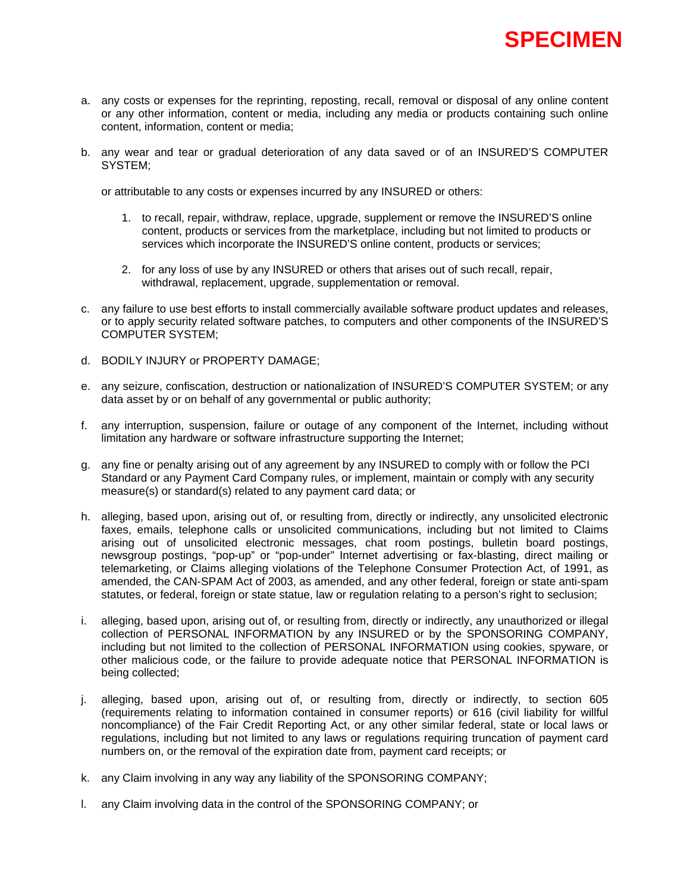

- a. any costs or expenses for the reprinting, reposting, recall, removal or disposal of any online content or any other information, content or media, including any media or products containing such online content, information, content or media;
- b. any wear and tear or gradual deterioration of any data saved or of an INSURED'S COMPUTER SYSTEM;

or attributable to any costs or expenses incurred by any INSURED or others:

- 1. to recall, repair, withdraw, replace, upgrade, supplement or remove the INSURED'S online content, products or services from the marketplace, including but not limited to products or services which incorporate the INSURED'S online content, products or services;
- 2. for any loss of use by any INSURED or others that arises out of such recall, repair, withdrawal, replacement, upgrade, supplementation or removal.
- c. any failure to use best efforts to install commercially available software product updates and releases, or to apply security related software patches, to computers and other components of the INSURED'S COMPUTER SYSTEM;
- d. BODILY INJURY or PROPERTY DAMAGE;
- e. any seizure, confiscation, destruction or nationalization of INSURED'S COMPUTER SYSTEM; or any data asset by or on behalf of any governmental or public authority;
- f. any interruption, suspension, failure or outage of any component of the Internet, including without limitation any hardware or software infrastructure supporting the Internet;
- g. any fine or penalty arising out of any agreement by any INSURED to comply with or follow the PCI Standard or any Payment Card Company rules, or implement, maintain or comply with any security measure(s) or standard(s) related to any payment card data; or
- h. alleging, based upon, arising out of, or resulting from, directly or indirectly, any unsolicited electronic faxes, emails, telephone calls or unsolicited communications, including but not limited to Claims arising out of unsolicited electronic messages, chat room postings, bulletin board postings, newsgroup postings, "pop-up" or "pop-under" Internet advertising or fax-blasting, direct mailing or telemarketing, or Claims alleging violations of the Telephone Consumer Protection Act, of 1991, as amended, the CAN-SPAM Act of 2003, as amended, and any other federal, foreign or state anti-spam statutes, or federal, foreign or state statue, law or regulation relating to a person's right to seclusion;
- i. alleging, based upon, arising out of, or resulting from, directly or indirectly, any unauthorized or illegal collection of PERSONAL INFORMATION by any INSURED or by the SPONSORING COMPANY, including but not limited to the collection of PERSONAL INFORMATION using cookies, spyware, or other malicious code, or the failure to provide adequate notice that PERSONAL INFORMATION is being collected;
- j. alleging, based upon, arising out of, or resulting from, directly or indirectly, to section 605 (requirements relating to information contained in consumer reports) or 616 (civil liability for willful noncompliance) of the Fair Credit Reporting Act, or any other similar federal, state or local laws or regulations, including but not limited to any laws or regulations requiring truncation of payment card numbers on, or the removal of the expiration date from, payment card receipts; or
- k. any Claim involving in any way any liability of the SPONSORING COMPANY;
- l. any Claim involving data in the control of the SPONSORING COMPANY; or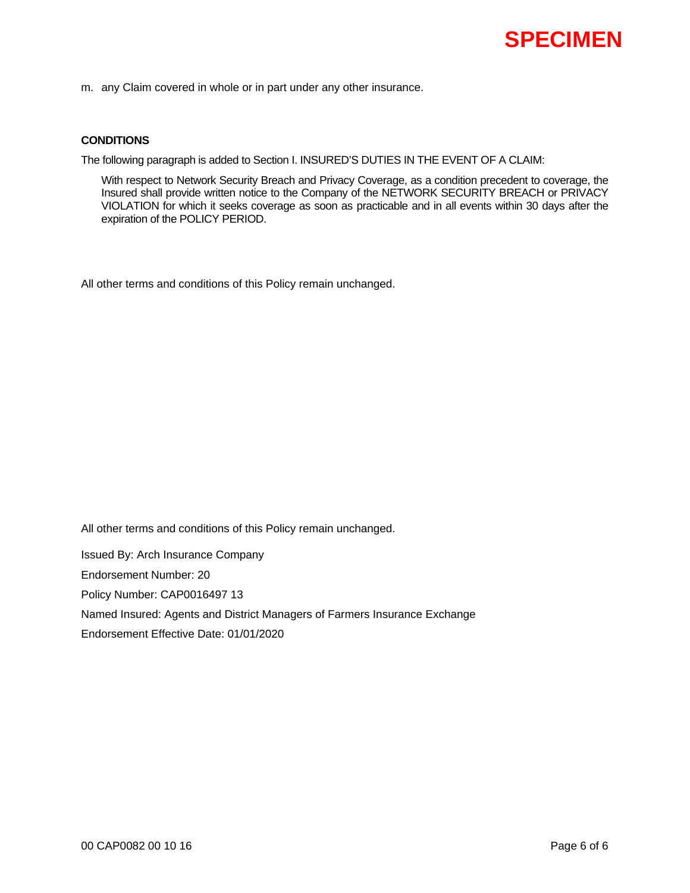m. any Claim covered in whole or in part under any other insurance.

### **CONDITIONS**

The following paragraph is added to Section I. INSURED'S DUTIES IN THE EVENT OF A CLAIM:

With respect to Network Security Breach and Privacy Coverage, as a condition precedent to coverage, the Insured shall provide written notice to the Company of the NETWORK SECURITY BREACH or PRIVACY VIOLATION for which it seeks coverage as soon as practicable and in all events within 30 days after the expiration of the POLICY PERIOD.

All other terms and conditions of this Policy remain unchanged.

All other terms and conditions of this Policy remain unchanged.

Issued By: Arch Insurance Company

Endorsement Number: 20

Policy Number: CAP0016497 13

Named Insured: Agents and District Managers of Farmers Insurance Exchange

Endorsement Effective Date: 01/01/2020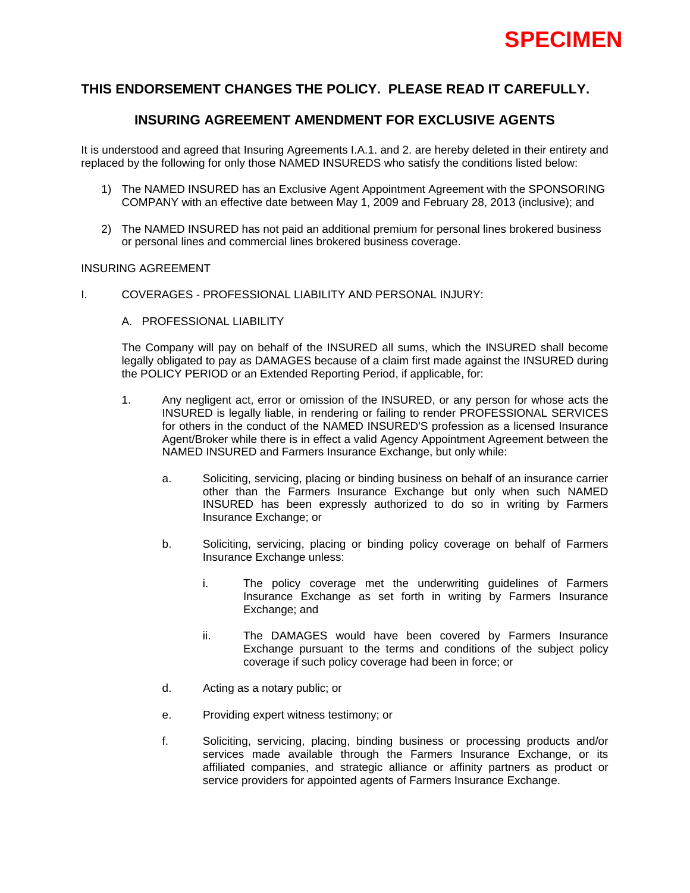

## **INSURING AGREEMENT AMENDMENT FOR EXCLUSIVE AGENTS**

It is understood and agreed that Insuring Agreements I.A.1. and 2. are hereby deleted in their entirety and replaced by the following for only those NAMED INSUREDS who satisfy the conditions listed below:

- 1) The NAMED INSURED has an Exclusive Agent Appointment Agreement with the SPONSORING COMPANY with an effective date between May 1, 2009 and February 28, 2013 (inclusive); and
- 2) The NAMED INSURED has not paid an additional premium for personal lines brokered business or personal lines and commercial lines brokered business coverage.

### INSURING AGREEMENT

- I. COVERAGES PROFESSIONAL LIABILITY AND PERSONAL INJURY:
	- A. PROFESSIONAL LIABILITY

The Company will pay on behalf of the INSURED all sums, which the INSURED shall become legally obligated to pay as DAMAGES because of a claim first made against the INSURED during the POLICY PERIOD or an Extended Reporting Period, if applicable, for:

- 1. Any negligent act, error or omission of the INSURED, or any person for whose acts the INSURED is legally liable, in rendering or failing to render PROFESSIONAL SERVICES for others in the conduct of the NAMED INSURED'S profession as a licensed Insurance Agent/Broker while there is in effect a valid Agency Appointment Agreement between the NAMED INSURED and Farmers Insurance Exchange, but only while:
	- a. Soliciting, servicing, placing or binding business on behalf of an insurance carrier other than the Farmers Insurance Exchange but only when such NAMED INSURED has been expressly authorized to do so in writing by Farmers Insurance Exchange; or
	- b. Soliciting, servicing, placing or binding policy coverage on behalf of Farmers Insurance Exchange unless:
		- i. The policy coverage met the underwriting guidelines of Farmers Insurance Exchange as set forth in writing by Farmers Insurance Exchange; and
		- ii. The DAMAGES would have been covered by Farmers Insurance Exchange pursuant to the terms and conditions of the subject policy coverage if such policy coverage had been in force; or
	- d. Acting as a notary public; or
	- e. Providing expert witness testimony; or
	- f. Soliciting, servicing, placing, binding business or processing products and/or services made available through the Farmers Insurance Exchange, or its affiliated companies, and strategic alliance or affinity partners as product or service providers for appointed agents of Farmers Insurance Exchange.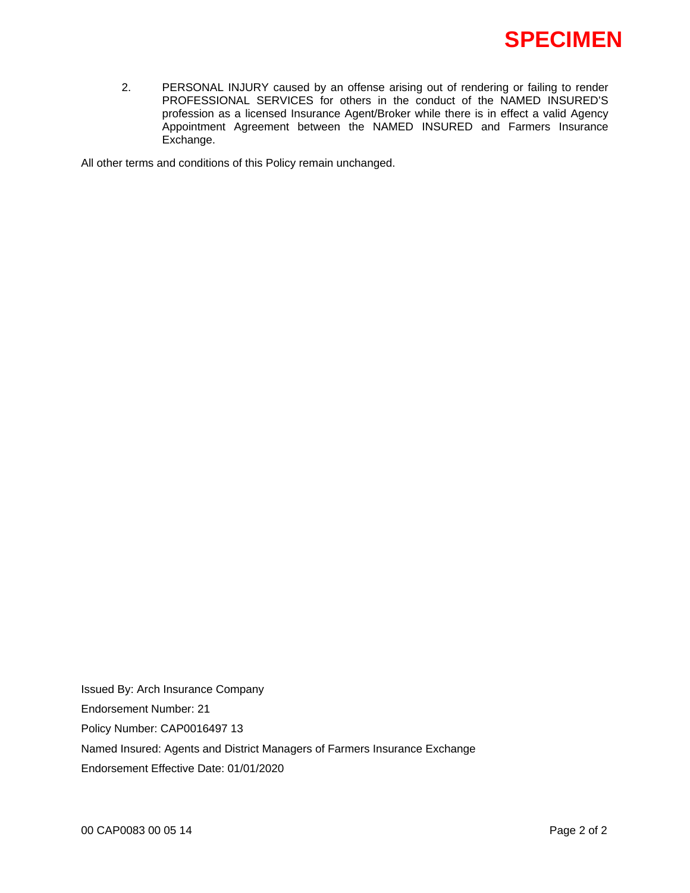

2. PERSONAL INJURY caused by an offense arising out of rendering or failing to render PROFESSIONAL SERVICES for others in the conduct of the NAMED INSURED'S profession as a licensed Insurance Agent/Broker while there is in effect a valid Agency Appointment Agreement between the NAMED INSURED and Farmers Insurance Exchange.

All other terms and conditions of this Policy remain unchanged.

Issued By: Arch Insurance Company Endorsement Number: 21 Policy Number: CAP0016497 13 Named Insured: Agents and District Managers of Farmers Insurance Exchange Endorsement Effective Date: 01/01/2020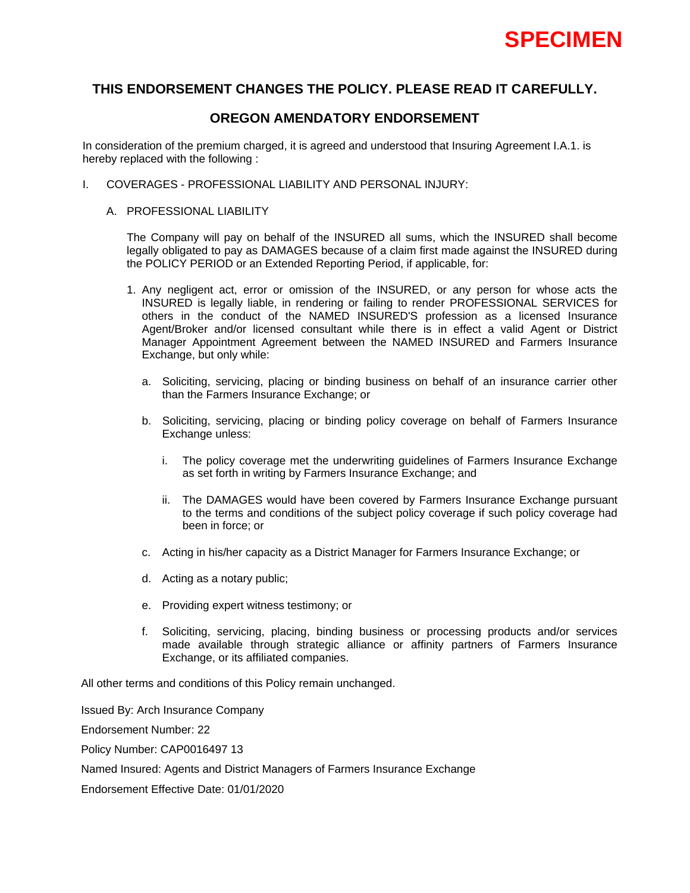

# **OREGON AMENDATORY ENDORSEMENT**

In consideration of the premium charged, it is agreed and understood that Insuring Agreement I.A.1. is hereby replaced with the following :

- I. COVERAGES PROFESSIONAL LIABILITY AND PERSONAL INJURY:
	- A. PROFESSIONAL LIABILITY

The Company will pay on behalf of the INSURED all sums, which the INSURED shall become legally obligated to pay as DAMAGES because of a claim first made against the INSURED during the POLICY PERIOD or an Extended Reporting Period, if applicable, for:

- 1. Any negligent act, error or omission of the INSURED, or any person for whose acts the INSURED is legally liable, in rendering or failing to render PROFESSIONAL SERVICES for others in the conduct of the NAMED INSURED'S profession as a licensed Insurance Agent/Broker and/or licensed consultant while there is in effect a valid Agent or District Manager Appointment Agreement between the NAMED INSURED and Farmers Insurance Exchange, but only while:
	- a. Soliciting, servicing, placing or binding business on behalf of an insurance carrier other than the Farmers Insurance Exchange; or
	- b. Soliciting, servicing, placing or binding policy coverage on behalf of Farmers Insurance Exchange unless:
		- i. The policy coverage met the underwriting guidelines of Farmers Insurance Exchange as set forth in writing by Farmers Insurance Exchange; and
		- ii. The DAMAGES would have been covered by Farmers Insurance Exchange pursuant to the terms and conditions of the subject policy coverage if such policy coverage had been in force; or
	- c. Acting in his/her capacity as a District Manager for Farmers Insurance Exchange; or
	- d. Acting as a notary public;
	- e. Providing expert witness testimony; or
	- f. Soliciting, servicing, placing, binding business or processing products and/or services made available through strategic alliance or affinity partners of Farmers Insurance Exchange, or its affiliated companies.

All other terms and conditions of this Policy remain unchanged.

Issued By: Arch Insurance Company

Endorsement Number: 22

Policy Number: CAP0016497 13

Named Insured: Agents and District Managers of Farmers Insurance Exchange

Endorsement Effective Date: 01/01/2020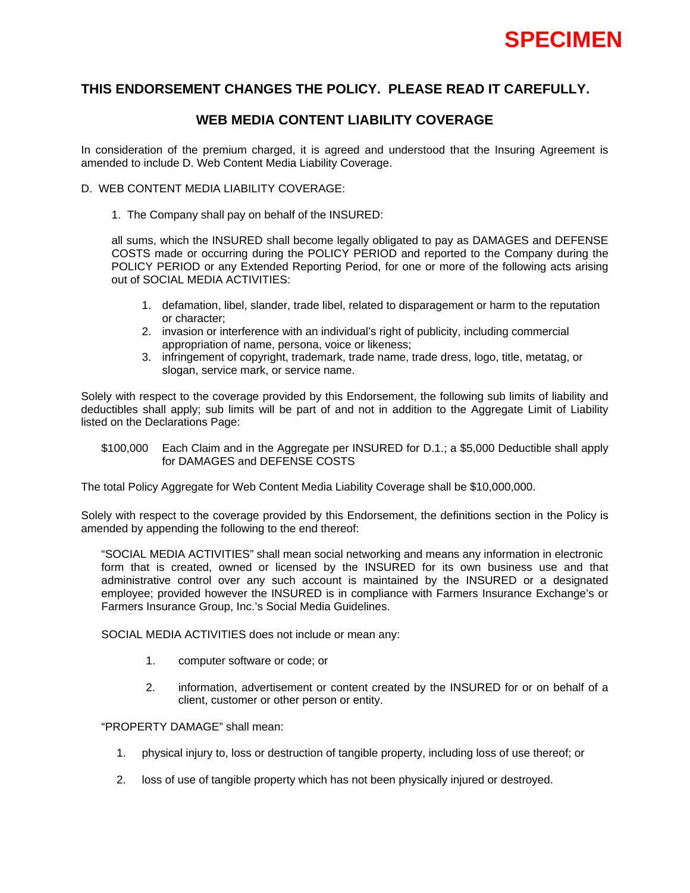

# **WEB MEDIA CONTENT LIABILITY COVERAGE**

In consideration of the premium charged, it is agreed and understood that the Insuring Agreement is amended to include D. Web Content Media Liability Coverage.

## D. WEB CONTENT MEDIA LIABILITY COVERAGE:

1. The Company shall pay on behalf of the INSURED:

all sums, which the INSURED shall become legally obligated to pay as DAMAGES and DEFENSE COSTS made or occurring during the POLICY PERIOD and reported to the Company during the POLICY PERIOD or any Extended Reporting Period, for one or more of the following acts arising out of SOCIAL MEDIA ACTIVITIES:

- 1. defamation, libel, slander, trade libel, related to disparagement or harm to the reputation or character;
- 2. invasion or interference with an individual's right of publicity, including commercial appropriation of name, persona, voice or likeness;
- 3. infringement of copyright, trademark, trade name, trade dress, logo, title, metatag, or slogan, service mark, or service name.

Solely with respect to the coverage provided by this Endorsement, the following sub limits of liability and deductibles shall apply; sub limits will be part of and not in addition to the Aggregate Limit of Liability listed on the Declarations Page:

### \$100,000 Each Claim and in the Aggregate per INSURED for D.1.; a \$5,000 Deductible shall apply for DAMAGES and DEFENSE COSTS

The total Policy Aggregate for Web Content Media Liability Coverage shall be \$10,000,000.

Solely with respect to the coverage provided by this Endorsement, the definitions section in the Policy is amended by appending the following to the end thereof:

"SOCIAL MEDIA ACTIVITIES" shall mean social networking and means any information in electronic form that is created, owned or licensed by the INSURED for its own business use and that administrative control over any such account is maintained by the INSURED or a designated employee; provided however the INSURED is in compliance with Farmers Insurance Exchange's or Farmers Insurance Group, Inc.'s Social Media Guidelines.

SOCIAL MEDIA ACTIVITIES does not include or mean any:

- 1. computer software or code; or
- 2. information, advertisement or content created by the INSURED for or on behalf of a client, customer or other person or entity.

"PROPERTY DAMAGE" shall mean:

- 1. physical injury to, loss or destruction of tangible property, including loss of use thereof; or
- 2. loss of use of tangible property which has not been physically injured or destroyed.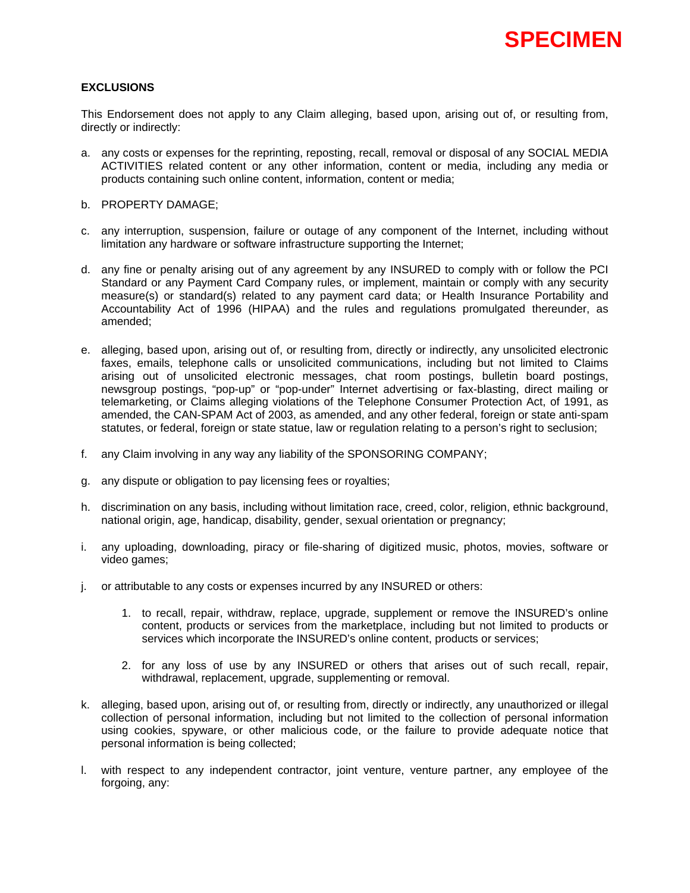## **EXCLUSIONS**

This Endorsement does not apply to any Claim alleging, based upon, arising out of, or resulting from, directly or indirectly:

- a. any costs or expenses for the reprinting, reposting, recall, removal or disposal of any SOCIAL MEDIA ACTIVITIES related content or any other information, content or media, including any media or products containing such online content, information, content or media;
- b. PROPERTY DAMAGE;
- c. any interruption, suspension, failure or outage of any component of the Internet, including without limitation any hardware or software infrastructure supporting the Internet;
- d. any fine or penalty arising out of any agreement by any INSURED to comply with or follow the PCI Standard or any Payment Card Company rules, or implement, maintain or comply with any security measure(s) or standard(s) related to any payment card data; or Health Insurance Portability and Accountability Act of 1996 (HIPAA) and the rules and regulations promulgated thereunder, as amended;
- e. alleging, based upon, arising out of, or resulting from, directly or indirectly, any unsolicited electronic faxes, emails, telephone calls or unsolicited communications, including but not limited to Claims arising out of unsolicited electronic messages, chat room postings, bulletin board postings, newsgroup postings, "pop-up" or "pop-under" Internet advertising or fax-blasting, direct mailing or telemarketing, or Claims alleging violations of the Telephone Consumer Protection Act, of 1991, as amended, the CAN-SPAM Act of 2003, as amended, and any other federal, foreign or state anti-spam statutes, or federal, foreign or state statue, law or regulation relating to a person's right to seclusion;
- f. any Claim involving in any way any liability of the SPONSORING COMPANY;
- g. any dispute or obligation to pay licensing fees or royalties;
- h. discrimination on any basis, including without limitation race, creed, color, religion, ethnic background, national origin, age, handicap, disability, gender, sexual orientation or pregnancy;
- i. any uploading, downloading, piracy or file-sharing of digitized music, photos, movies, software or video games;
- j. or attributable to any costs or expenses incurred by any INSURED or others:
	- 1. to recall, repair, withdraw, replace, upgrade, supplement or remove the INSURED's online content, products or services from the marketplace, including but not limited to products or services which incorporate the INSURED's online content, products or services;
	- 2. for any loss of use by any INSURED or others that arises out of such recall, repair, withdrawal, replacement, upgrade, supplementing or removal.
- k. alleging, based upon, arising out of, or resulting from, directly or indirectly, any unauthorized or illegal collection of personal information, including but not limited to the collection of personal information using cookies, spyware, or other malicious code, or the failure to provide adequate notice that personal information is being collected;
- l. with respect to any independent contractor, joint venture, venture partner, any employee of the forgoing, any: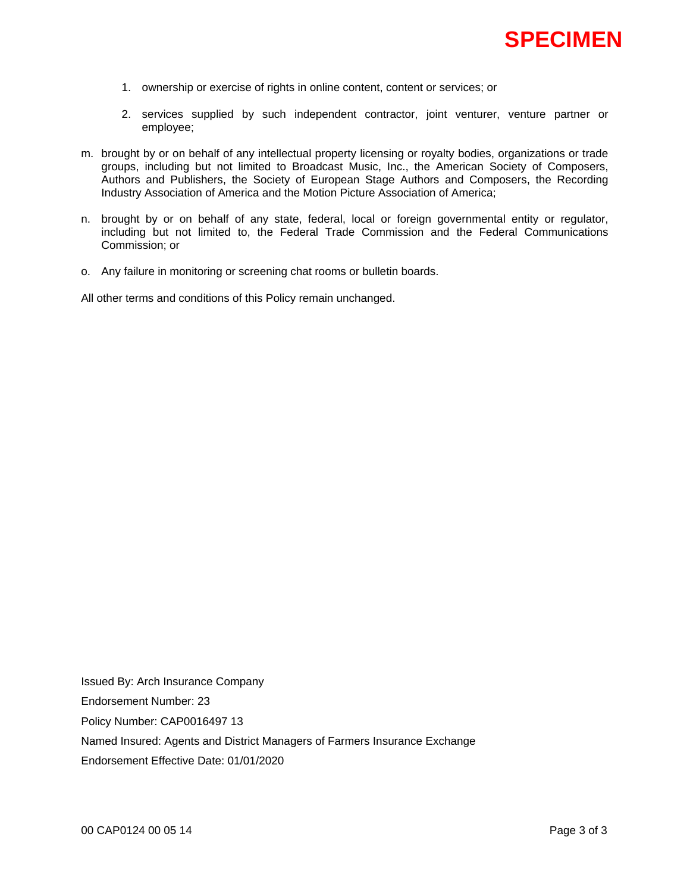- 1. ownership or exercise of rights in online content, content or services; or
- 2. services supplied by such independent contractor, joint venturer, venture partner or employee;
- m. brought by or on behalf of any intellectual property licensing or royalty bodies, organizations or trade groups, including but not limited to Broadcast Music, Inc., the American Society of Composers, Authors and Publishers, the Society of European Stage Authors and Composers, the Recording Industry Association of America and the Motion Picture Association of America;
- n. brought by or on behalf of any state, federal, local or foreign governmental entity or regulator, including but not limited to, the Federal Trade Commission and the Federal Communications Commission; or
- o. Any failure in monitoring or screening chat rooms or bulletin boards.

All other terms and conditions of this Policy remain unchanged.

Issued By: Arch Insurance Company Endorsement Number: 23 Policy Number: CAP0016497 13 Named Insured: Agents and District Managers of Farmers Insurance Exchange Endorsement Effective Date: 01/01/2020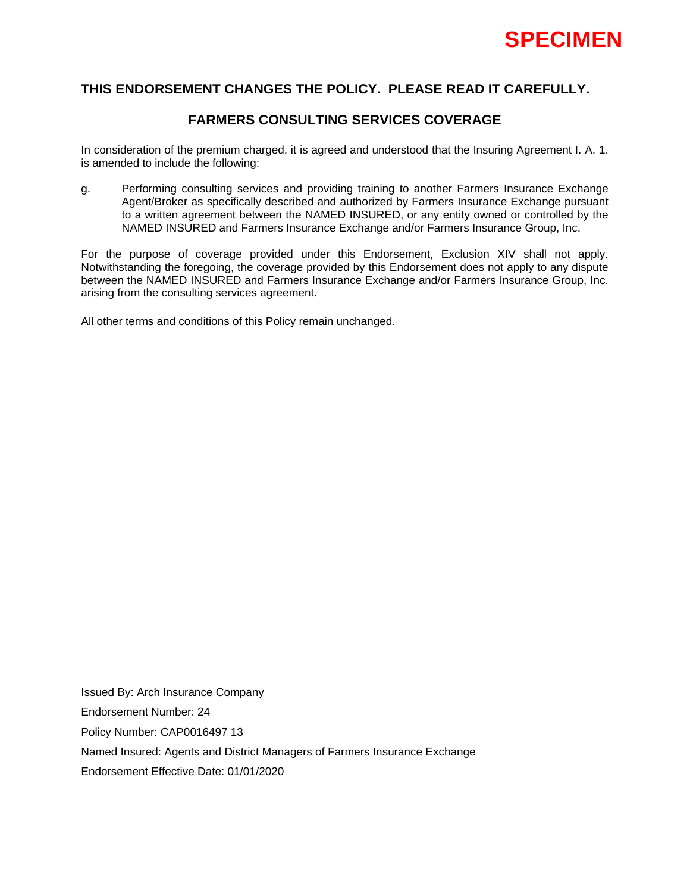

# **FARMERS CONSULTING SERVICES COVERAGE**

In consideration of the premium charged, it is agreed and understood that the Insuring Agreement I. A. 1. is amended to include the following:

g. Performing consulting services and providing training to another Farmers Insurance Exchange Agent/Broker as specifically described and authorized by Farmers Insurance Exchange pursuant to a written agreement between the NAMED INSURED, or any entity owned or controlled by the NAMED INSURED and Farmers Insurance Exchange and/or Farmers Insurance Group, Inc.

For the purpose of coverage provided under this Endorsement, Exclusion XIV shall not apply. Notwithstanding the foregoing, the coverage provided by this Endorsement does not apply to any dispute between the NAMED INSURED and Farmers Insurance Exchange and/or Farmers Insurance Group, Inc. arising from the consulting services agreement.

All other terms and conditions of this Policy remain unchanged.

Issued By: Arch Insurance Company Endorsement Number: 24 Policy Number: CAP0016497 13 Named Insured: Agents and District Managers of Farmers Insurance Exchange Endorsement Effective Date: 01/01/2020